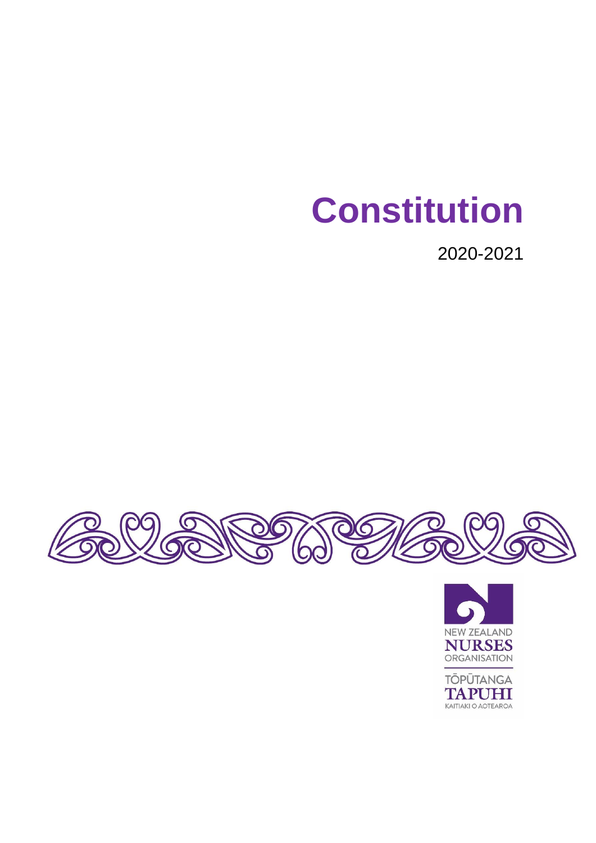# **Constitution**

2020-2021





**TOPŪTANGA TAPUHI**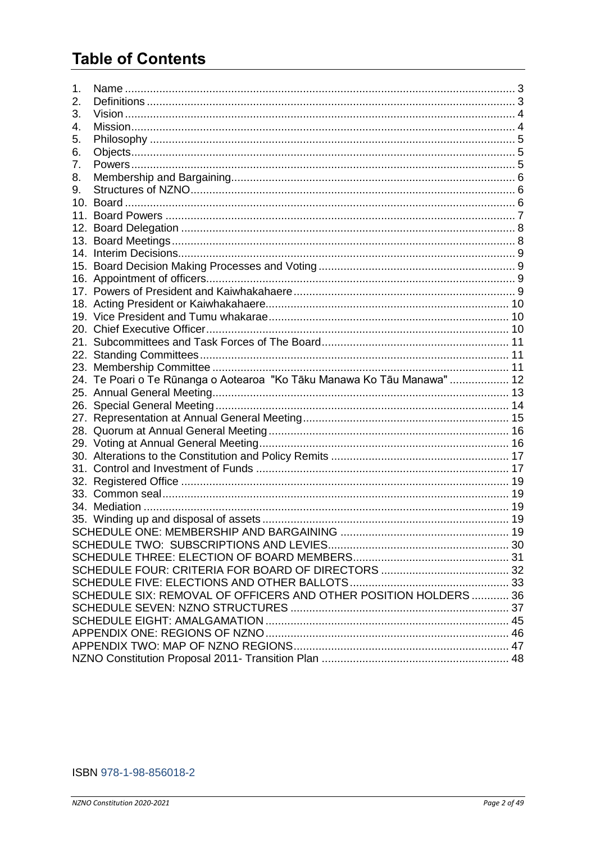# **Table of Contents**

| 1.  |                                                                         |  |  |  |
|-----|-------------------------------------------------------------------------|--|--|--|
| 2.  |                                                                         |  |  |  |
| 3.  |                                                                         |  |  |  |
| 4.  |                                                                         |  |  |  |
| 5.  |                                                                         |  |  |  |
| 6.  |                                                                         |  |  |  |
| 7.  |                                                                         |  |  |  |
| 8.  |                                                                         |  |  |  |
| 9.  |                                                                         |  |  |  |
| 10. |                                                                         |  |  |  |
| 11. |                                                                         |  |  |  |
|     |                                                                         |  |  |  |
|     |                                                                         |  |  |  |
|     |                                                                         |  |  |  |
|     |                                                                         |  |  |  |
|     |                                                                         |  |  |  |
|     |                                                                         |  |  |  |
|     |                                                                         |  |  |  |
|     |                                                                         |  |  |  |
|     |                                                                         |  |  |  |
|     |                                                                         |  |  |  |
|     |                                                                         |  |  |  |
|     |                                                                         |  |  |  |
|     |                                                                         |  |  |  |
|     | 24. Te Poari o Te Rūnanga o Aotearoa "Ko Tāku Manawa Ko Tāu Manawa"  12 |  |  |  |
|     |                                                                         |  |  |  |
|     |                                                                         |  |  |  |
|     |                                                                         |  |  |  |
|     |                                                                         |  |  |  |
|     |                                                                         |  |  |  |
|     |                                                                         |  |  |  |
|     |                                                                         |  |  |  |
|     |                                                                         |  |  |  |
|     |                                                                         |  |  |  |
|     |                                                                         |  |  |  |
|     |                                                                         |  |  |  |
|     |                                                                         |  |  |  |
|     |                                                                         |  |  |  |
|     |                                                                         |  |  |  |
|     |                                                                         |  |  |  |
|     |                                                                         |  |  |  |
|     | SCHEDULE SIX: REMOVAL OF OFFICERS AND OTHER POSITION HOLDERS  36        |  |  |  |
|     |                                                                         |  |  |  |
|     |                                                                         |  |  |  |
|     |                                                                         |  |  |  |
|     |                                                                         |  |  |  |
|     |                                                                         |  |  |  |
|     |                                                                         |  |  |  |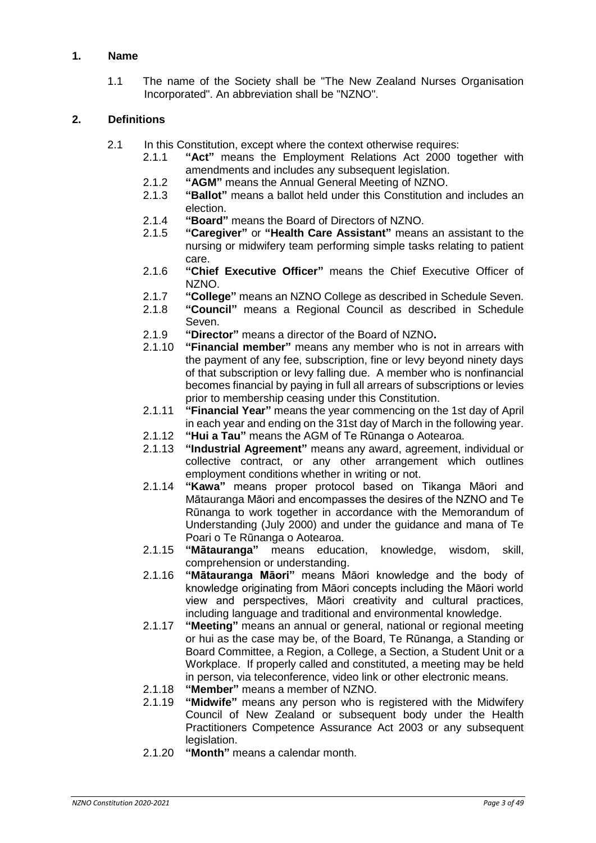# <span id="page-2-0"></span>**1. Name**

1.1 The name of the Society shall be "The New Zealand Nurses Organisation Incorporated". An abbreviation shall be "NZNO".

# <span id="page-2-1"></span>**2. Definitions**

- 2.1 In this Constitution, except where the context otherwise requires:
	- 2.1.1 **"Act"** means the Employment Relations Act 2000 together with amendments and includes any subsequent legislation.
	- 2.1.2 **"AGM"** means the Annual General Meeting of NZNO.
	- 2.1.3 **"Ballot"** means a ballot held under this Constitution and includes an election.
	- 2.1.4 **"Board"** means the Board of Directors of NZNO.
	- 2.1.5 **"Caregiver"** or **"Health Care Assistant"** means an assistant to the nursing or midwifery team performing simple tasks relating to patient care.
	- 2.1.6 **"Chief Executive Officer"** means the Chief Executive Officer of NZNO.
	- 2.1.7 **"College"** means an NZNO College as described in Schedule Seven.
	- 2.1.8 **"Council"** means a Regional Council as described in Schedule Seven.
	- 2.1.9 **"Director"** means a director of the Board of NZNO**.**
	- 2.1.10 **"Financial member"** means any member who is not in arrears with the payment of any fee, subscription, fine or levy beyond ninety days of that subscription or levy falling due. A member who is nonfinancial becomes financial by paying in full all arrears of subscriptions or levies prior to membership ceasing under this Constitution.
	- 2.1.11 **"Financial Year"** means the year commencing on the 1st day of April in each year and ending on the 31st day of March in the following year.
	- 2.1.12 **"Hui a Tau"** means the AGM of Te Rūnanga o Aotearoa.
	- 2.1.13 **"Industrial Agreement"** means any award, agreement, individual or collective contract, or any other arrangement which outlines employment conditions whether in writing or not.
	- 2.1.14 **"Kawa"** means proper protocol based on Tikanga Māori and Mātauranga Māori and encompasses the desires of the NZNO and Te Rūnanga to work together in accordance with the Memorandum of Understanding (July 2000) and under the guidance and mana of Te Poari o Te Rūnanga o Aotearoa.
	- 2.1.15 **"Mātauranga"** means education, knowledge, wisdom, skill, comprehension or understanding.
	- 2.1.16 **"Mātauranga Māori"** means Māori knowledge and the body of knowledge originating from Māori concepts including the Māori world view and perspectives, Māori creativity and cultural practices, including language and traditional and environmental knowledge.
	- 2.1.17 **"Meeting"** means an annual or general, national or regional meeting or hui as the case may be, of the Board, Te Rūnanga, a Standing or Board Committee, a Region, a College, a Section, a Student Unit or a Workplace. If properly called and constituted, a meeting may be held in person, via teleconference, video link or other electronic means.
	- 2.1.18 **"Member"** means a member of NZNO.
	- 2.1.19 **"Midwife"** means any person who is registered with the Midwifery Council of New Zealand or subsequent body under the Health Practitioners Competence Assurance Act 2003 or any subsequent legislation.
	- 2.1.20 **"Month"** means a calendar month.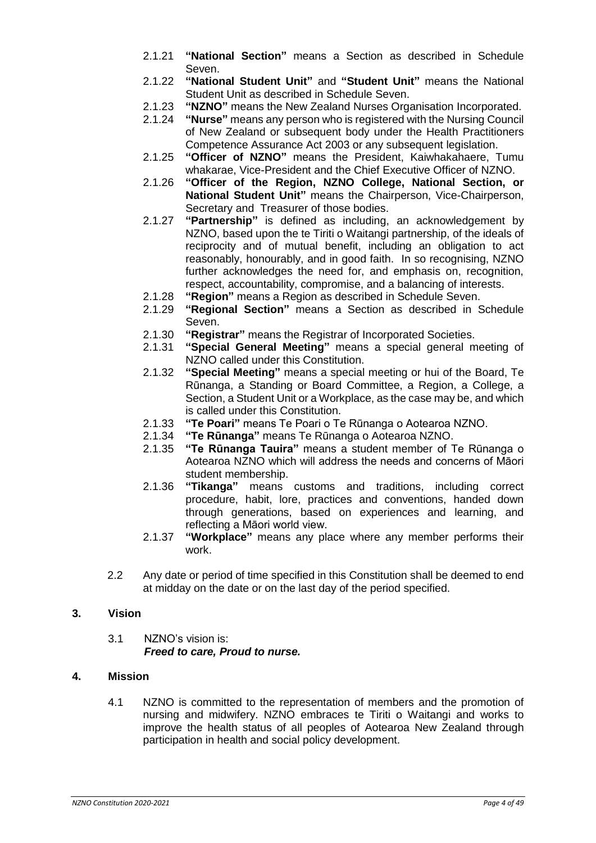- 2.1.21 **"National Section"** means a Section as described in Schedule Seven.
- 2.1.22 **"National Student Unit"** and **"Student Unit"** means the National Student Unit as described in Schedule Seven.
- 2.1.23 **"NZNO"** means the New Zealand Nurses Organisation Incorporated.
- 2.1.24 **"Nurse"** means any person who is registered with the Nursing Council of New Zealand or subsequent body under the Health Practitioners Competence Assurance Act 2003 or any subsequent legislation.
- 2.1.25 **"Officer of NZNO"** means the President, Kaiwhakahaere, Tumu whakarae, Vice-President and the Chief Executive Officer of NZNO.
- 2.1.26 **"Officer of the Region, NZNO College, National Section, or National Student Unit"** means the Chairperson, Vice-Chairperson, Secretary and Treasurer of those bodies.
- 2.1.27 **"Partnership"** is defined as including, an acknowledgement by NZNO, based upon the te Tiriti o Waitangi partnership, of the ideals of reciprocity and of mutual benefit, including an obligation to act reasonably, honourably, and in good faith. In so recognising, NZNO further acknowledges the need for, and emphasis on, recognition, respect, accountability, compromise, and a balancing of interests.
- 2.1.28 **"Region"** means a Region as described in Schedule Seven.
- 2.1.29 **"Regional Section"** means a Section as described in Schedule Seven.
- 2.1.30 **"Registrar"** means the Registrar of Incorporated Societies.
- 2.1.31 **"Special General Meeting"** means a special general meeting of NZNO called under this Constitution.
- 2.1.32 **"Special Meeting"** means a special meeting or hui of the Board, Te Rūnanga, a Standing or Board Committee, a Region, a College, a Section, a Student Unit or a Workplace, as the case may be, and which is called under this Constitution.
- 2.1.33 **"Te Poari"** means Te Poari o Te Rūnanga o Aotearoa NZNO.
- 2.1.34 **"Te Rūnanga"** means Te Rūnanga o Aotearoa NZNO.
- 2.1.35 **"Te Rūnanga Tauira"** means a student member of Te Rūnanga o Aotearoa NZNO which will address the needs and concerns of Māori student membership.
- 2.1.36 **"Tikanga"** means customs and traditions, including correct procedure, habit, lore, practices and conventions, handed down through generations, based on experiences and learning, and reflecting a Māori world view.
- 2.1.37 **"Workplace"** means any place where any member performs their work.
- 2.2 Any date or period of time specified in this Constitution shall be deemed to end at midday on the date or on the last day of the period specified.

#### <span id="page-3-0"></span>**3. Vision**

3.1 NZNO's vision is: *Freed to care, Proud to nurse.*

#### <span id="page-3-1"></span>**4. Mission**

<span id="page-3-2"></span>4.1 NZNO is committed to the representation of members and the promotion of nursing and midwifery. NZNO embraces te Tiriti o Waitangi and works to improve the health status of all peoples of Aotearoa New Zealand through participation in health and social policy development.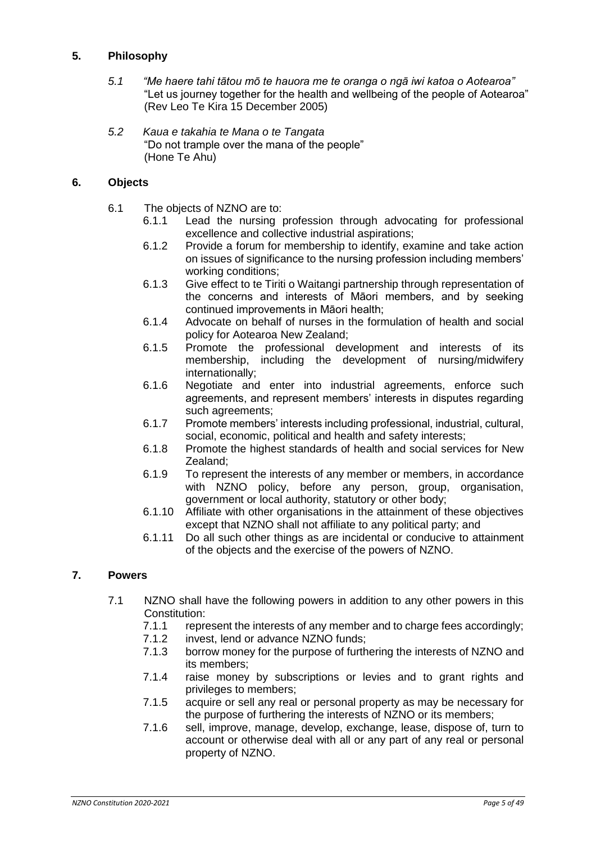# **5. Philosophy**

- *5.1 "Me haere tahi tātou mō te hauora me te oranga o ngā iwi katoa o Aotearoa"* "Let us journey together for the health and wellbeing of the people of Aotearoa" (Rev Leo Te Kira 15 December 2005)
- *5.2 Kaua e takahia te Mana o te Tangata* "Do not trample over the mana of the people" (Hone Te Ahu)

#### <span id="page-4-0"></span>**6. Objects**

- 6.1 The objects of NZNO are to:
	- 6.1.1 Lead the nursing profession through advocating for professional excellence and collective industrial aspirations;
	- 6.1.2 Provide a forum for membership to identify, examine and take action on issues of significance to the nursing profession including members' working conditions;
	- 6.1.3 Give effect to te Tiriti o Waitangi partnership through representation of the concerns and interests of Māori members, and by seeking continued improvements in Māori health;
	- 6.1.4 Advocate on behalf of nurses in the formulation of health and social policy for Aotearoa New Zealand;
	- 6.1.5 Promote the professional development and interests of its membership, including the development of nursing/midwifery internationally;
	- 6.1.6 Negotiate and enter into industrial agreements, enforce such agreements, and represent members' interests in disputes regarding such agreements;
	- 6.1.7 Promote members' interests including professional, industrial, cultural, social, economic, political and health and safety interests;
	- 6.1.8 Promote the highest standards of health and social services for New Zealand;
	- 6.1.9 To represent the interests of any member or members, in accordance with NZNO policy, before any person, group, organisation, government or local authority, statutory or other body;
	- 6.1.10 Affiliate with other organisations in the attainment of these objectives except that NZNO shall not affiliate to any political party; and
	- 6.1.11 Do all such other things as are incidental or conducive to attainment of the objects and the exercise of the powers of NZNO.

#### <span id="page-4-1"></span>**7. Powers**

- 7.1 NZNO shall have the following powers in addition to any other powers in this Constitution:
	- 7.1.1 represent the interests of any member and to charge fees accordingly;
	- 7.1.2 invest, lend or advance NZNO funds;
	- 7.1.3 borrow money for the purpose of furthering the interests of NZNO and its members;
	- 7.1.4 raise money by subscriptions or levies and to grant rights and privileges to members;
	- 7.1.5 acquire or sell any real or personal property as may be necessary for the purpose of furthering the interests of NZNO or its members;
	- 7.1.6 sell, improve, manage, develop, exchange, lease, dispose of, turn to account or otherwise deal with all or any part of any real or personal property of NZNO.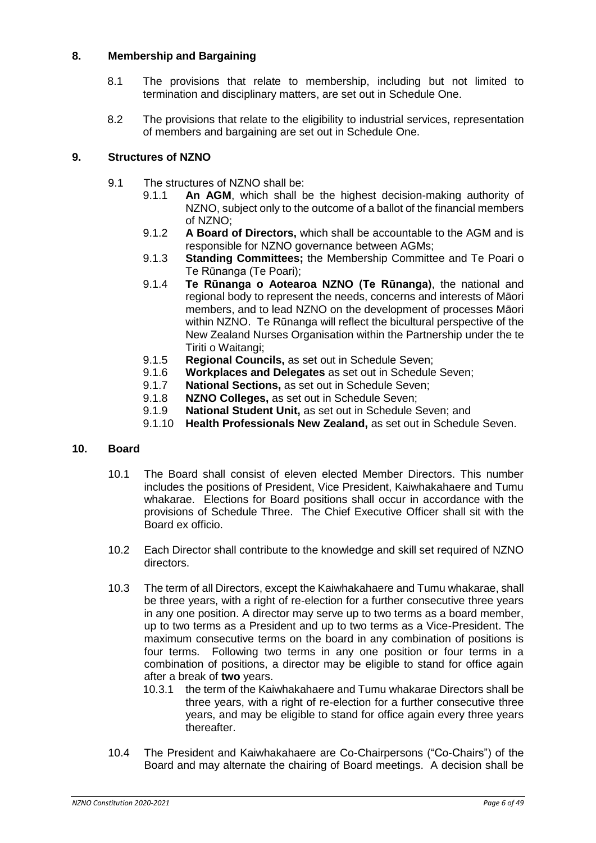# <span id="page-5-0"></span>**8. Membership and Bargaining**

- 8.1 The provisions that relate to membership, including but not limited to termination and disciplinary matters, are set out in Schedule One.
- 8.2 The provisions that relate to the eligibility to industrial services, representation of members and bargaining are set out in Schedule One.

# <span id="page-5-1"></span>**9. Structures of NZNO**

- 9.1 The structures of NZNO shall be:
	- 9.1.1 **An AGM**, which shall be the highest decision-making authority of NZNO, subject only to the outcome of a ballot of the financial members of NZNO;
	- 9.1.2 **A Board of Directors,** which shall be accountable to the AGM and is responsible for NZNO governance between AGMs;
	- 9.1.3 **Standing Committees;** the Membership Committee and Te Poari o Te Rūnanga (Te Poari);
	- 9.1.4 **Te Rūnanga o Aotearoa NZNO (Te Rūnanga)**, the national and regional body to represent the needs, concerns and interests of Māori members, and to lead NZNO on the development of processes Māori within NZNO. Te Rūnanga will reflect the bicultural perspective of the New Zealand Nurses Organisation within the Partnership under the te Tiriti o Waitangi;
	- 9.1.5 **Regional Councils,** as set out in Schedule Seven;
	- 9.1.6 **Workplaces and Delegates** as set out in Schedule Seven;
	- 9.1.7 **National Sections,** as set out in Schedule Seven;
	- 9.1.8 **NZNO Colleges,** as set out in Schedule Seven;
	- 9.1.9 **National Student Unit,** as set out in Schedule Seven; and
	- 9.1.10 **Health Professionals New Zealand,** as set out in Schedule Seven.

#### <span id="page-5-2"></span>**10. Board**

- 10.1 The Board shall consist of eleven elected Member Directors. This number includes the positions of President, Vice President, Kaiwhakahaere and Tumu whakarae. Elections for Board positions shall occur in accordance with the provisions of Schedule Three. The Chief Executive Officer shall sit with the Board ex officio.
- 10.2 Each Director shall contribute to the knowledge and skill set required of NZNO directors.
- 10.3 The term of all Directors, except the Kaiwhakahaere and Tumu whakarae, shall be three years, with a right of re-election for a further consecutive three years in any one position. A director may serve up to two terms as a board member, up to two terms as a President and up to two terms as a Vice-President. The maximum consecutive terms on the board in any combination of positions is four terms. Following two terms in any one position or four terms in a combination of positions, a director may be eligible to stand for office again after a break of **two** years.
	- 10.3.1 the term of the Kaiwhakahaere and Tumu whakarae Directors shall be three years, with a right of re-election for a further consecutive three years, and may be eligible to stand for office again every three years thereafter.
- 10.4 The President and Kaiwhakahaere are Co-Chairpersons ("Co-Chairs") of the Board and may alternate the chairing of Board meetings. A decision shall be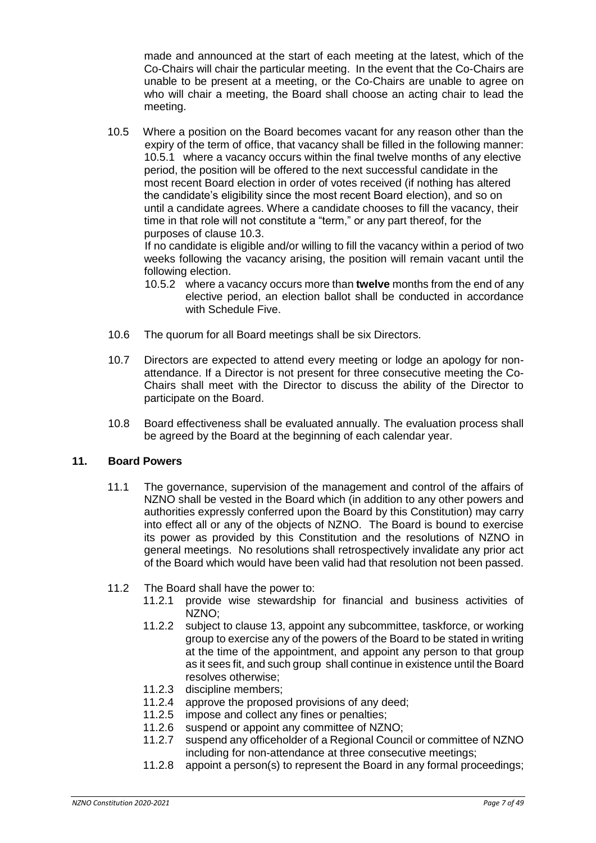made and announced at the start of each meeting at the latest, which of the Co-Chairs will chair the particular meeting. In the event that the Co-Chairs are unable to be present at a meeting, or the Co-Chairs are unable to agree on who will chair a meeting, the Board shall choose an acting chair to lead the meeting.

10.5 Where a position on the Board becomes vacant for any reason other than the expiry of the term of office, that vacancy shall be filled in the following manner: 10.5.1 where a vacancy occurs within the final twelve months of any elective period, the position will be offered to the next successful candidate in the most recent Board election in order of votes received (if nothing has altered the candidate's eligibility since the most recent Board election), and so on until a candidate agrees. Where a candidate chooses to fill the vacancy, their time in that role will not constitute a "term," or any part thereof, for the purposes of clause 10.3.

If no candidate is eligible and/or willing to fill the vacancy within a period of two weeks following the vacancy arising, the position will remain vacant until the following election.

- 10.5.2 where a vacancy occurs more than **twelve** months from the end of any elective period, an election ballot shall be conducted in accordance with Schedule Five.
- 10.6 The quorum for all Board meetings shall be six Directors.
- 10.7 Directors are expected to attend every meeting or lodge an apology for nonattendance. If a Director is not present for three consecutive meeting the Co-Chairs shall meet with the Director to discuss the ability of the Director to participate on the Board.
- 10.8 Board effectiveness shall be evaluated annually. The evaluation process shall be agreed by the Board at the beginning of each calendar year.

#### <span id="page-6-0"></span>**11. Board Powers**

- 11.1 The governance, supervision of the management and control of the affairs of NZNO shall be vested in the Board which (in addition to any other powers and authorities expressly conferred upon the Board by this Constitution) may carry into effect all or any of the objects of NZNO. The Board is bound to exercise its power as provided by this Constitution and the resolutions of NZNO in general meetings. No resolutions shall retrospectively invalidate any prior act of the Board which would have been valid had that resolution not been passed.
- 11.2 The Board shall have the power to:
	- 11.2.1 provide wise stewardship for financial and business activities of NZNO;
	- 11.2.2 subject to clause 13, appoint any subcommittee, taskforce, or working group to exercise any of the powers of the Board to be stated in writing at the time of the appointment, and appoint any person to that group as it sees fit, and such group shall continue in existence until the Board resolves otherwise;
	- 11.2.3 discipline members;
	- 11.2.4 approve the proposed provisions of any deed;
	- 11.2.5 impose and collect any fines or penalties;
	- 11.2.6 suspend or appoint any committee of NZNO;
	- 11.2.7 suspend any officeholder of a Regional Council or committee of NZNO including for non-attendance at three consecutive meetings;
	- 11.2.8 appoint a person(s) to represent the Board in any formal proceedings;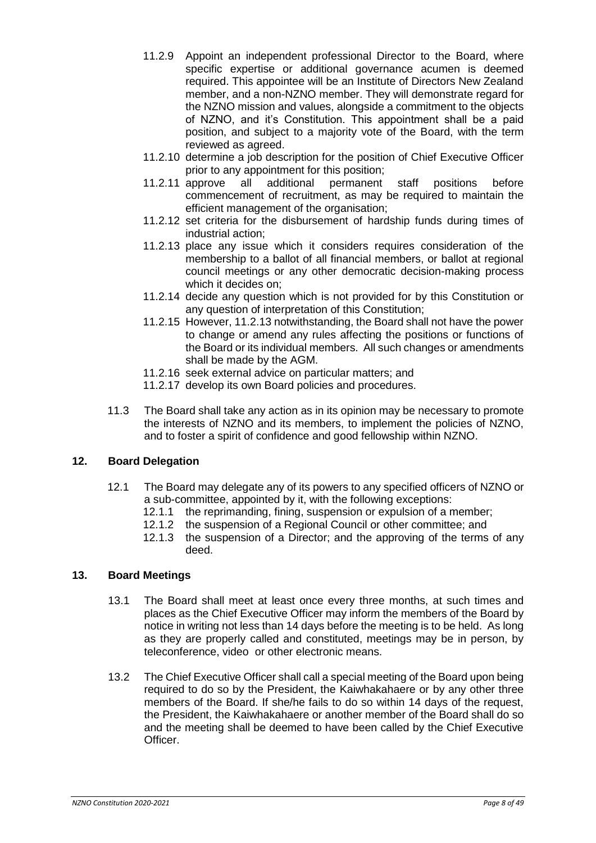- 11.2.9 Appoint an independent professional Director to the Board, where specific expertise or additional governance acumen is deemed required. This appointee will be an Institute of Directors New Zealand member, and a non-NZNO member. They will demonstrate regard for the NZNO mission and values, alongside a commitment to the objects of NZNO, and it's Constitution. This appointment shall be a paid position, and subject to a majority vote of the Board, with the term reviewed as agreed.
- 11.2.10 determine a job description for the position of Chief Executive Officer prior to any appointment for this position;
- 11.2.11 approve all additional permanent staff positions before commencement of recruitment, as may be required to maintain the efficient management of the organisation;
- 11.2.12 set criteria for the disbursement of hardship funds during times of industrial action;
- 11.2.13 place any issue which it considers requires consideration of the membership to a ballot of all financial members, or ballot at regional council meetings or any other democratic decision-making process which it decides on;
- 11.2.14 decide any question which is not provided for by this Constitution or any question of interpretation of this Constitution;
- 11.2.15 However, 11.2.13 notwithstanding, the Board shall not have the power to change or amend any rules affecting the positions or functions of the Board or its individual members. All such changes or amendments shall be made by the AGM.
- 11.2.16 seek external advice on particular matters; and
- 11.2.17 develop its own Board policies and procedures.
- 11.3 The Board shall take any action as in its opinion may be necessary to promote the interests of NZNO and its members, to implement the policies of NZNO, and to foster a spirit of confidence and good fellowship within NZNO.

#### <span id="page-7-0"></span>**12. Board Delegation**

- 12.1 The Board may delegate any of its powers to any specified officers of NZNO or a sub-committee, appointed by it, with the following exceptions:
	- 12.1.1 the reprimanding, fining, suspension or expulsion of a member;
	- 12.1.2 the suspension of a Regional Council or other committee; and
	- 12.1.3 the suspension of a Director; and the approving of the terms of any deed.

# <span id="page-7-1"></span>**13. Board Meetings**

- 13.1 The Board shall meet at least once every three months, at such times and places as the Chief Executive Officer may inform the members of the Board by notice in writing not less than 14 days before the meeting is to be held. As long as they are properly called and constituted, meetings may be in person, by teleconference, video or other electronic means.
- 13.2 The Chief Executive Officer shall call a special meeting of the Board upon being required to do so by the President, the Kaiwhakahaere or by any other three members of the Board. If she/he fails to do so within 14 days of the request, the President, the Kaiwhakahaere or another member of the Board shall do so and the meeting shall be deemed to have been called by the Chief Executive Officer.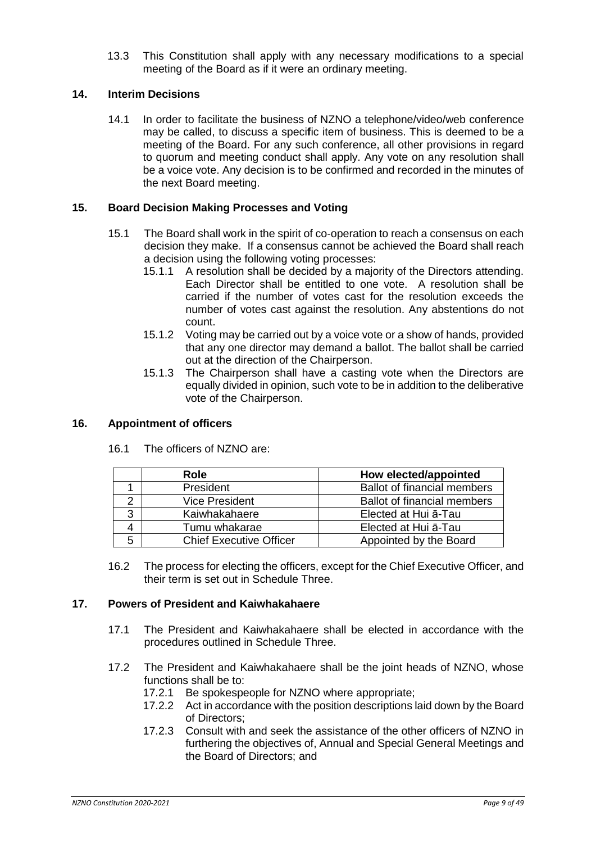13.3 This Constitution shall apply with any necessary modifications to a special meeting of the Board as if it were an ordinary meeting.

#### <span id="page-8-0"></span>**14. Interim Decisions**

14.1 In order to facilitate the business of NZNO a telephone/video/web conference may be called, to discuss a speci**f**ic item of business. This is deemed to be a meeting of the Board. For any such conference, all other provisions in regard to quorum and meeting conduct shall apply. Any vote on any resolution shall be a voice vote. Any decision is to be confirmed and recorded in the minutes of the next Board meeting.

#### <span id="page-8-1"></span>**15. Board Decision Making Processes and Voting**

- 15.1 The Board shall work in the spirit of co-operation to reach a consensus on each decision they make. If a consensus cannot be achieved the Board shall reach a decision using the following voting processes:
	- 15.1.1 A resolution shall be decided by a majority of the Directors attending. Each Director shall be entitled to one vote. A resolution shall be carried if the number of votes cast for the resolution exceeds the number of votes cast against the resolution. Any abstentions do not count.
	- 15.1.2 Voting may be carried out by a voice vote or a show of hands, provided that any one director may demand a ballot. The ballot shall be carried out at the direction of the Chairperson.
	- 15.1.3 The Chairperson shall have a casting vote when the Directors are equally divided in opinion, such vote to be in addition to the deliberative vote of the Chairperson.

#### <span id="page-8-2"></span>**16. Appointment of officers**

16.1 The officers of NZNO are:

|   | <b>Role</b>                           | How elected/appointed              |
|---|---------------------------------------|------------------------------------|
|   | President                             | <b>Ballot of financial members</b> |
|   | <b>Vice President</b>                 | <b>Ballot of financial members</b> |
| 3 | Kaiwhakahaere                         | Elected at Hui ā-Tau               |
|   | Elected at Hui a-Tau<br>Tumu whakarae |                                    |
| 5 | <b>Chief Executive Officer</b>        | Appointed by the Board             |

16.2 The process for electing the officers, except for the Chief Executive Officer, and their term is set out in Schedule Three.

#### <span id="page-8-3"></span>**17. Powers of President and Kaiwhakahaere**

- 17.1 The President and Kaiwhakahaere shall be elected in accordance with the procedures outlined in Schedule Three.
- 17.2 The President and Kaiwhakahaere shall be the joint heads of NZNO, whose functions shall be to:
	- 17.2.1 Be spokespeople for NZNO where appropriate;
	- 17.2.2 Act in accordance with the position descriptions laid down by the Board of Directors;
	- 17.2.3 Consult with and seek the assistance of the other officers of NZNO in furthering the objectives of, Annual and Special General Meetings and the Board of Directors; and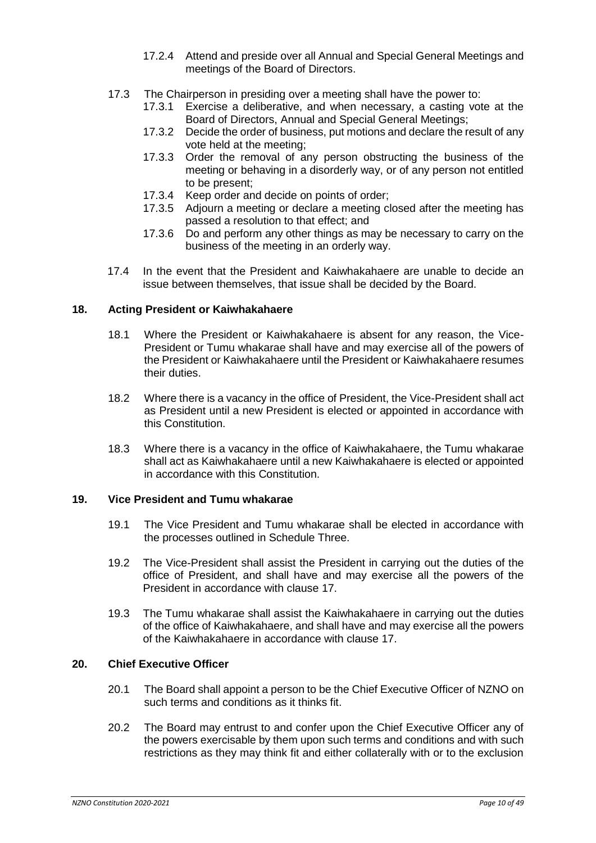- 17.2.4 Attend and preside over all Annual and Special General Meetings and meetings of the Board of Directors.
- 17.3 The Chairperson in presiding over a meeting shall have the power to:
	- 17.3.1 Exercise a deliberative, and when necessary, a casting vote at the Board of Directors, Annual and Special General Meetings;
	- 17.3.2 Decide the order of business, put motions and declare the result of any vote held at the meeting;
	- 17.3.3 Order the removal of any person obstructing the business of the meeting or behaving in a disorderly way, or of any person not entitled to be present;
	- 17.3.4 Keep order and decide on points of order;
	- 17.3.5 Adjourn a meeting or declare a meeting closed after the meeting has passed a resolution to that effect; and
	- 17.3.6 Do and perform any other things as may be necessary to carry on the business of the meeting in an orderly way.
- 17.4 In the event that the President and Kaiwhakahaere are unable to decide an issue between themselves, that issue shall be decided by the Board.

# <span id="page-9-0"></span>**18. Acting President or Kaiwhakahaere**

- 18.1 Where the President or Kaiwhakahaere is absent for any reason, the Vice-President or Tumu whakarae shall have and may exercise all of the powers of the President or Kaiwhakahaere until the President or Kaiwhakahaere resumes their duties.
- 18.2 Where there is a vacancy in the office of President, the Vice-President shall act as President until a new President is elected or appointed in accordance with this Constitution.
- 18.3 Where there is a vacancy in the office of Kaiwhakahaere, the Tumu whakarae shall act as Kaiwhakahaere until a new Kaiwhakahaere is elected or appointed in accordance with this Constitution.

#### <span id="page-9-1"></span>**19. Vice President and Tumu whakarae**

- 19.1 The Vice President and Tumu whakarae shall be elected in accordance with the processes outlined in Schedule Three.
- 19.2 The Vice-President shall assist the President in carrying out the duties of the office of President, and shall have and may exercise all the powers of the President in accordance with clause 17.
- 19.3 The Tumu whakarae shall assist the Kaiwhakahaere in carrying out the duties of the office of Kaiwhakahaere, and shall have and may exercise all the powers of the Kaiwhakahaere in accordance with clause 17.

# <span id="page-9-2"></span>**20. Chief Executive Officer**

- 20.1 The Board shall appoint a person to be the Chief Executive Officer of NZNO on such terms and conditions as it thinks fit.
- 20.2 The Board may entrust to and confer upon the Chief Executive Officer any of the powers exercisable by them upon such terms and conditions and with such restrictions as they may think fit and either collaterally with or to the exclusion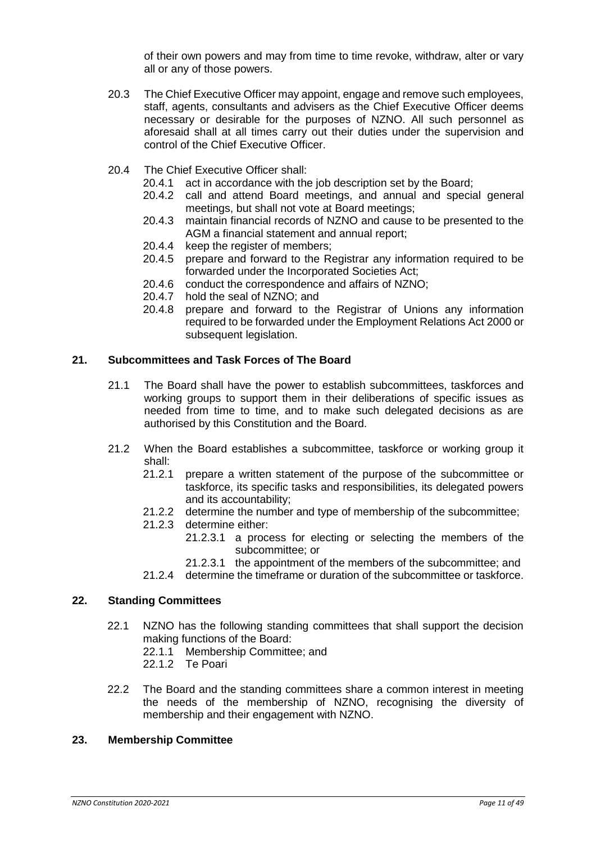of their own powers and may from time to time revoke, withdraw, alter or vary all or any of those powers.

- 20.3 The Chief Executive Officer may appoint, engage and remove such employees, staff, agents, consultants and advisers as the Chief Executive Officer deems necessary or desirable for the purposes of NZNO. All such personnel as aforesaid shall at all times carry out their duties under the supervision and control of the Chief Executive Officer.
- 20.4 The Chief Executive Officer shall:
	- 20.4.1 act in accordance with the job description set by the Board;
	- 20.4.2 call and attend Board meetings, and annual and special general meetings, but shall not vote at Board meetings;
	- 20.4.3 maintain financial records of NZNO and cause to be presented to the AGM a financial statement and annual report;
	- 20.4.4 keep the register of members;
	- 20.4.5 prepare and forward to the Registrar any information required to be forwarded under the Incorporated Societies Act;
	- 20.4.6 conduct the correspondence and affairs of NZNO;
	- 20.4.7 hold the seal of NZNO; and
	- 20.4.8 prepare and forward to the Registrar of Unions any information required to be forwarded under the Employment Relations Act 2000 or subsequent legislation.

#### <span id="page-10-0"></span>**21. Subcommittees and Task Forces of The Board**

- 21.1 The Board shall have the power to establish subcommittees, taskforces and working groups to support them in their deliberations of specific issues as needed from time to time, and to make such delegated decisions as are authorised by this Constitution and the Board.
- 21.2 When the Board establishes a subcommittee, taskforce or working group it shall:
	- 21.2.1 prepare a written statement of the purpose of the subcommittee or taskforce, its specific tasks and responsibilities, its delegated powers and its accountability;
	- 21.2.2 determine the number and type of membership of the subcommittee;
	- 21.2.3 determine either:
		- 21.2.3.1 a process for electing or selecting the members of the subcommittee; or
		- 21.2.3.1 the appointment of the members of the subcommittee; and
	- 21.2.4 determine the timeframe or duration of the subcommittee or taskforce.

#### <span id="page-10-1"></span>**22. Standing Committees**

- 22.1 NZNO has the following standing committees that shall support the decision making functions of the Board:
	- 22.1.1 Membership Committee; and
	- 22.1.2 Te Poari
- 22.2 The Board and the standing committees share a common interest in meeting the needs of the membership of NZNO, recognising the diversity of membership and their engagement with NZNO.

#### <span id="page-10-2"></span>**23. Membership Committee**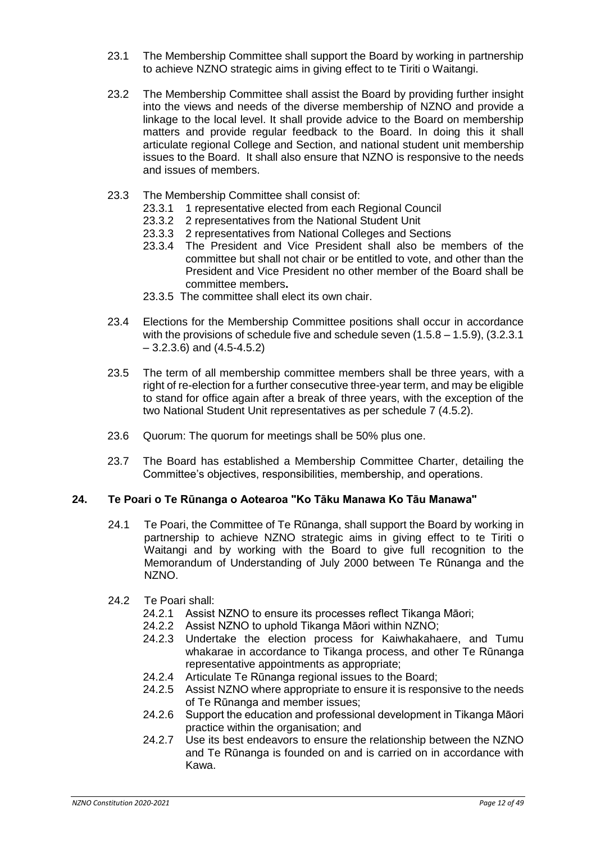- 23.1 The Membership Committee shall support the Board by working in partnership to achieve NZNO strategic aims in giving effect to te Tiriti o Waitangi.
- 23.2 The Membership Committee shall assist the Board by providing further insight into the views and needs of the diverse membership of NZNO and provide a linkage to the local level. It shall provide advice to the Board on membership matters and provide regular feedback to the Board. In doing this it shall articulate regional College and Section, and national student unit membership issues to the Board. It shall also ensure that NZNO is responsive to the needs and issues of members.
- 23.3 The Membership Committee shall consist of:
	- 23.3.1 1 representative elected from each Regional Council
	- 23.3.2 2 representatives from the National Student Unit
	- 23.3.3 2 representatives from National Colleges and Sections
	- 23.3.4 The President and Vice President shall also be members of the committee but shall not chair or be entitled to vote, and other than the President and Vice President no other member of the Board shall be committee members**.**
	- 23.3.5 The committee shall elect its own chair.
- 23.4 Elections for the Membership Committee positions shall occur in accordance with the provisions of schedule five and schedule seven  $(1.5.8 - 1.5.9)$ ,  $(3.2.3.1)$  $-3.2.3.6$ ) and  $(4.5-4.5.2)$
- 23.5 The term of all membership committee members shall be three years, with a right of re-election for a further consecutive three-year term, and may be eligible to stand for office again after a break of three years, with the exception of the two National Student Unit representatives as per schedule 7 (4.5.2).
- 23.6 Quorum: The quorum for meetings shall be 50% plus one.
- 23.7 The Board has established a Membership Committee Charter, detailing the Committee's objectives, responsibilities, membership, and operations.

#### <span id="page-11-0"></span>**24. Te Poari o Te Rūnanga o Aotearoa "Ko Tāku Manawa Ko Tāu Manawa"**

- 24.1 Te Poari, the Committee of Te Rūnanga, shall support the Board by working in partnership to achieve NZNO strategic aims in giving effect to te Tiriti o Waitangi and by working with the Board to give full recognition to the Memorandum of Understanding of July 2000 between Te Rūnanga and the NZNO.
- 24.2 Te Poari shall:
	- 24.2.1 Assist NZNO to ensure its processes reflect Tikanga Māori;
	- 24.2.2 Assist NZNO to uphold Tikanga Māori within NZNO;
	- 24.2.3 Undertake the election process for Kaiwhakahaere, and Tumu whakarae in accordance to Tikanga process, and other Te Rūnanga representative appointments as appropriate;
	- 24.2.4 Articulate Te Rūnanga regional issues to the Board;
	- 24.2.5 Assist NZNO where appropriate to ensure it is responsive to the needs of Te Rūnanga and member issues;
	- 24.2.6 Support the education and professional development in Tikanga Māori practice within the organisation; and
	- 24.2.7 Use its best endeavors to ensure the relationship between the NZNO and Te Rūnanga is founded on and is carried on in accordance with Kawa.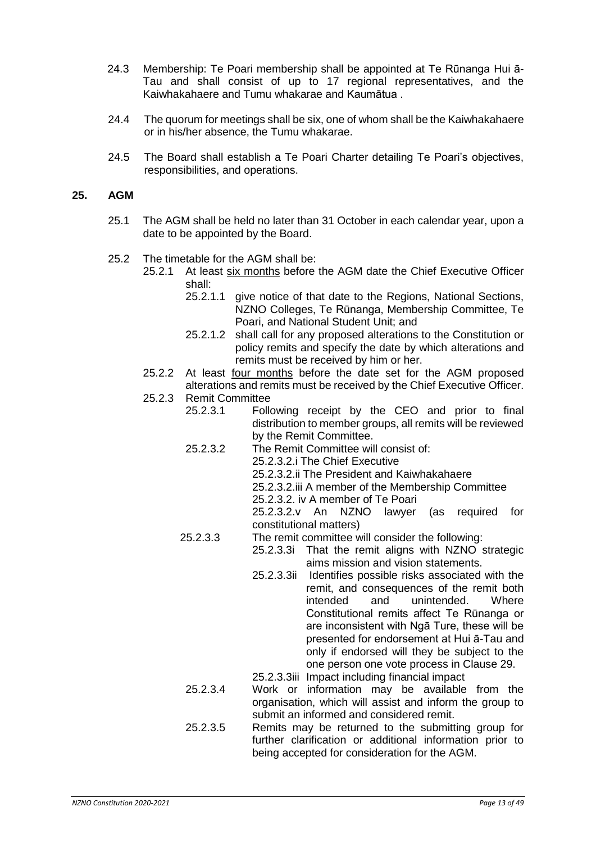- 24.3 Membership: Te Poari membership shall be appointed at Te Rūnanga Hui ā-Tau and shall consist of up to 17 regional representatives, and the Kaiwhakahaere and Tumu whakarae and Kaumātua .
- 24.4 The quorum for meetings shall be six, one of whom shall be the Kaiwhakahaere or in his/her absence, the Tumu whakarae.
- 24.5 The Board shall establish a Te Poari Charter detailing Te Poari's objectives, responsibilities, and operations.

#### <span id="page-12-0"></span>**25. AGM**

- 25.1 The AGM shall be held no later than 31 October in each calendar year, upon a date to be appointed by the Board.
- 25.2 The timetable for the AGM shall be:
	- 25.2.1 At least six months before the AGM date the Chief Executive Officer shall:
		- 25.2.1.1 give notice of that date to the Regions, National Sections, NZNO Colleges, Te Rūnanga, Membership Committee, Te Poari, and National Student Unit; and
		- 25.2.1.2 shall call for any proposed alterations to the Constitution or policy remits and specify the date by which alterations and remits must be received by him or her.
	- 25.2.2 At least four months before the date set for the AGM proposed alterations and remits must be received by the Chief Executive Officer.
	- 25.2.3 Remit Committee
		- 25.2.3.1 Following receipt by the CEO and prior to final distribution to member groups, all remits will be reviewed by the Remit Committee.
		- 25.2.3.2 The Remit Committee will consist of:
			- 25.2.3.2.i The Chief Executive
				- 25.2.3.2.ii The President and Kaiwhakahaere
				- 25.2.3.2.iii A member of the Membership Committee
				- 25.2.3.2. iv A member of Te Poari

25.2.3.2.v An NZNO lawyer (as required for constitutional matters)

- 25.2.3.3 The remit committee will consider the following:
	- 25.2.3.3i That the remit aligns with NZNO strategic aims mission and vision statements.
		- 25.2.3.3ii Identifies possible risks associated with the remit, and consequences of the remit both intended and unintended. Where Constitutional remits affect Te Rūnanga or are inconsistent with Ngā Ture, these will be presented for endorsement at Hui ā-Tau and only if endorsed will they be subject to the one person one vote process in Clause 29.
	- 25.2.3.3iii Impact including financial impact
- 25.2.3.4 Work or information may be available from the organisation, which will assist and inform the group to submit an informed and considered remit.
- 25.2.3.5 Remits may be returned to the submitting group for further clarification or additional information prior to being accepted for consideration for the AGM.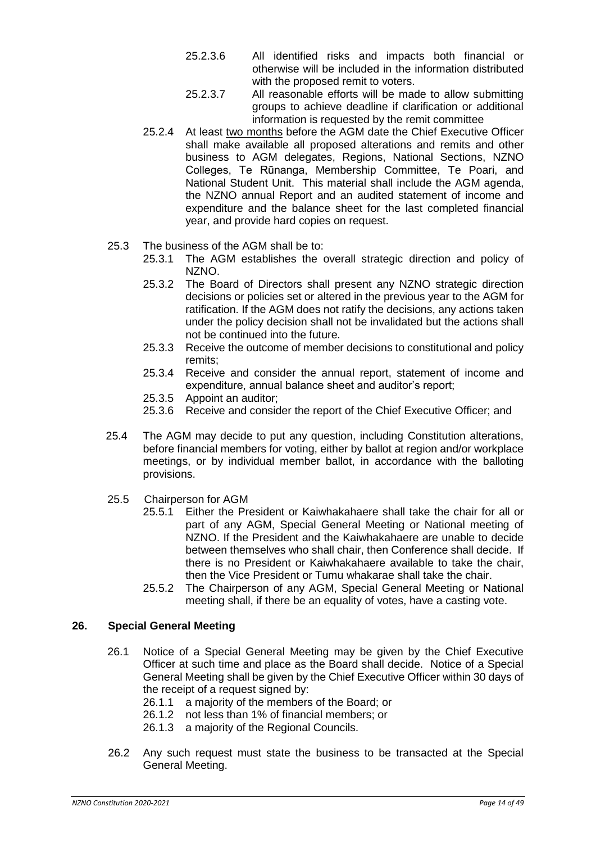- 25.2.3.6 All identified risks and impacts both financial or otherwise will be included in the information distributed with the proposed remit to voters.
- 25.2.3.7 All reasonable efforts will be made to allow submitting groups to achieve deadline if clarification or additional information is requested by the remit committee
- 25.2.4 At least two months before the AGM date the Chief Executive Officer shall make available all proposed alterations and remits and other business to AGM delegates, Regions, National Sections, NZNO Colleges, Te Rūnanga, Membership Committee, Te Poari, and National Student Unit. This material shall include the AGM agenda, the NZNO annual Report and an audited statement of income and expenditure and the balance sheet for the last completed financial year, and provide hard copies on request.
- 25.3 The business of the AGM shall be to:
	- 25.3.1 The AGM establishes the overall strategic direction and policy of NZNO.
	- 25.3.2 The Board of Directors shall present any NZNO strategic direction decisions or policies set or altered in the previous year to the AGM for ratification. If the AGM does not ratify the decisions, any actions taken under the policy decision shall not be invalidated but the actions shall not be continued into the future.
	- 25.3.3 Receive the outcome of member decisions to constitutional and policy remits;
	- 25.3.4 Receive and consider the annual report, statement of income and expenditure, annual balance sheet and auditor's report;
	- 25.3.5 Appoint an auditor;
	- 25.3.6 Receive and consider the report of the Chief Executive Officer; and
- 25.4 The AGM may decide to put any question, including Constitution alterations, before financial members for voting, either by ballot at region and/or workplace meetings, or by individual member ballot, in accordance with the balloting provisions.
- 25.5 Chairperson for AGM
	- 25.5.1 Either the President or Kaiwhakahaere shall take the chair for all or part of any AGM, Special General Meeting or National meeting of NZNO. If the President and the Kaiwhakahaere are unable to decide between themselves who shall chair, then Conference shall decide. If there is no President or Kaiwhakahaere available to take the chair, then the Vice President or Tumu whakarae shall take the chair.
	- 25.5.2 The Chairperson of any AGM, Special General Meeting or National meeting shall, if there be an equality of votes, have a casting vote.

#### <span id="page-13-0"></span>**26. Special General Meeting**

- 26.1 Notice of a Special General Meeting may be given by the Chief Executive Officer at such time and place as the Board shall decide. Notice of a Special General Meeting shall be given by the Chief Executive Officer within 30 days of the receipt of a request signed by:
	- 26.1.1 a majority of the members of the Board; or
	- 26.1.2 not less than 1% of financial members; or
	- 26.1.3 a majority of the Regional Councils.
- 26.2 Any such request must state the business to be transacted at the Special General Meeting.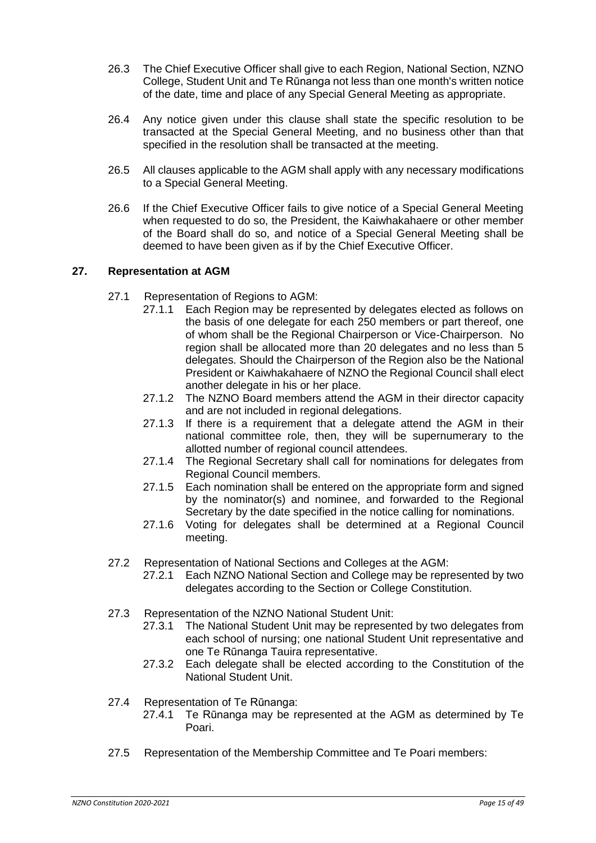- 26.3 The Chief Executive Officer shall give to each Region, National Section, NZNO College, Student Unit and Te Rūnanga not less than one month's written notice of the date, time and place of any Special General Meeting as appropriate.
- 26.4 Any notice given under this clause shall state the specific resolution to be transacted at the Special General Meeting, and no business other than that specified in the resolution shall be transacted at the meeting.
- 26.5 All clauses applicable to the AGM shall apply with any necessary modifications to a Special General Meeting.
- 26.6 If the Chief Executive Officer fails to give notice of a Special General Meeting when requested to do so, the President, the Kaiwhakahaere or other member of the Board shall do so, and notice of a Special General Meeting shall be deemed to have been given as if by the Chief Executive Officer.

#### <span id="page-14-0"></span>**27. Representation at AGM**

- 27.1 Representation of Regions to AGM:
	- 27.1.1 Each Region may be represented by delegates elected as follows on the basis of one delegate for each 250 members or part thereof, one of whom shall be the Regional Chairperson or Vice-Chairperson. No region shall be allocated more than 20 delegates and no less than 5 delegates. Should the Chairperson of the Region also be the National President or Kaiwhakahaere of NZNO the Regional Council shall elect another delegate in his or her place.
	- 27.1.2 The NZNO Board members attend the AGM in their director capacity and are not included in regional delegations.
	- 27.1.3 If there is a requirement that a delegate attend the AGM in their national committee role, then, they will be supernumerary to the allotted number of regional council attendees.
	- 27.1.4 The Regional Secretary shall call for nominations for delegates from Regional Council members.
	- 27.1.5 Each nomination shall be entered on the appropriate form and signed by the nominator(s) and nominee, and forwarded to the Regional Secretary by the date specified in the notice calling for nominations.
	- 27.1.6 Voting for delegates shall be determined at a Regional Council meeting.
- 27.2 Representation of National Sections and Colleges at the AGM:
	- 27.2.1 Each NZNO National Section and College may be represented by two delegates according to the Section or College Constitution.
- 27.3 Representation of the NZNO National Student Unit:
	- 27.3.1 The National Student Unit may be represented by two delegates from each school of nursing; one national Student Unit representative and one Te Rūnanga Tauira representative.
	- 27.3.2 Each delegate shall be elected according to the Constitution of the National Student Unit.
- 27.4 Representation of Te Rūnanga:
	- 27.4.1 Te Rūnanga may be represented at the AGM as determined by Te Poari.
- 27.5 Representation of the Membership Committee and Te Poari members: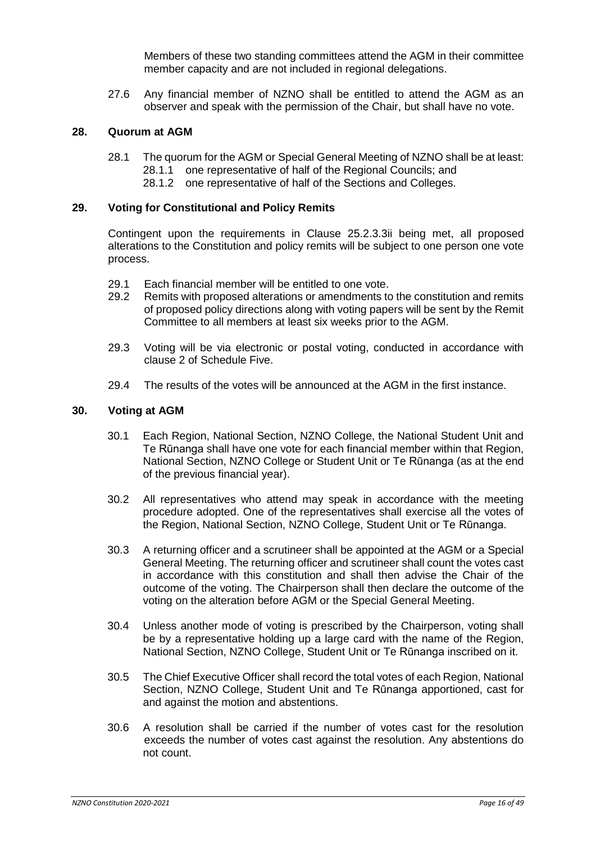Members of these two standing committees attend the AGM in their committee member capacity and are not included in regional delegations.

27.6 Any financial member of NZNO shall be entitled to attend the AGM as an observer and speak with the permission of the Chair, but shall have no vote.

#### <span id="page-15-0"></span>**28. Quorum at AGM**

- 28.1 The quorum for the AGM or Special General Meeting of NZNO shall be at least: 28.1.1 one representative of half of the Regional Councils; and
	- 28.1.2 one representative of half of the Sections and Colleges.

#### <span id="page-15-1"></span>**29. Voting for Constitutional and Policy Remits**

Contingent upon the requirements in Clause 25.2.3.3ii being met, all proposed alterations to the Constitution and policy remits will be subject to one person one vote process.

- 29.1 Each financial member will be entitled to one vote.
- 29.2 Remits with proposed alterations or amendments to the constitution and remits of proposed policy directions along with voting papers will be sent by the Remit Committee to all members at least six weeks prior to the AGM.
- 29.3 Voting will be via electronic or postal voting, conducted in accordance with clause 2 of Schedule Five.
- 29.4 The results of the votes will be announced at the AGM in the first instance.

#### **30. Voting at AGM**

- 30.1 Each Region, National Section, NZNO College, the National Student Unit and Te Rūnanga shall have one vote for each financial member within that Region, National Section, NZNO College or Student Unit or Te Rūnanga (as at the end of the previous financial year).
- 30.2 All representatives who attend may speak in accordance with the meeting procedure adopted. One of the representatives shall exercise all the votes of the Region, National Section, NZNO College, Student Unit or Te Rūnanga.
- 30.3 A returning officer and a scrutineer shall be appointed at the AGM or a Special General Meeting. The returning officer and scrutineer shall count the votes cast in accordance with this constitution and shall then advise the Chair of the outcome of the voting. The Chairperson shall then declare the outcome of the voting on the alteration before AGM or the Special General Meeting.
- 30.4 Unless another mode of voting is prescribed by the Chairperson, voting shall be by a representative holding up a large card with the name of the Region, National Section, NZNO College, Student Unit or Te Rūnanga inscribed on it.
- 30.5 The Chief Executive Officer shall record the total votes of each Region, National Section, NZNO College, Student Unit and Te Rūnanga apportioned, cast for and against the motion and abstentions.
- 30.6 A resolution shall be carried if the number of votes cast for the resolution exceeds the number of votes cast against the resolution. Any abstentions do not count.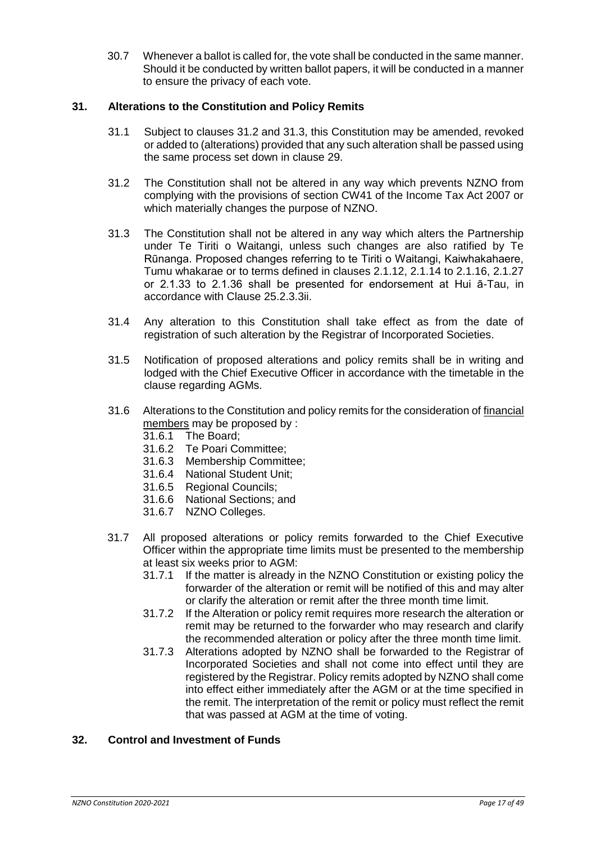30.7 Whenever a ballot is called for, the vote shall be conducted in the same manner. Should it be conducted by written ballot papers, it will be conducted in a manner to ensure the privacy of each vote.

# <span id="page-16-0"></span>**31. Alterations to the Constitution and Policy Remits**

- 31.1 Subject to clauses 31.2 and 31.3, this Constitution may be amended, revoked or added to (alterations) provided that any such alteration shall be passed using the same process set down in clause 29.
- 31.2 The Constitution shall not be altered in any way which prevents NZNO from complying with the provisions of section CW41 of the Income Tax Act 2007 or which materially changes the purpose of NZNO.
- 31.3 The Constitution shall not be altered in any way which alters the Partnership under Te Tiriti o Waitangi, unless such changes are also ratified by Te Rūnanga. Proposed changes referring to te Tiriti o Waitangi, Kaiwhakahaere, Tumu whakarae or to terms defined in clauses 2.1.12, 2.1.14 to 2.1.16, 2.1.27 or 2.1.33 to 2.1.36 shall be presented for endorsement at Hui ā-Tau, in accordance with Clause 25.2.3.3ii.
- 31.4 Any alteration to this Constitution shall take effect as from the date of registration of such alteration by the Registrar of Incorporated Societies.
- 31.5 Notification of proposed alterations and policy remits shall be in writing and lodged with the Chief Executive Officer in accordance with the timetable in the clause regarding AGMs.
- 31.6 Alterations to the Constitution and policy remits for the consideration of financial members may be proposed by :
	- 31.6.1 The Board;
	- 31.6.2 Te Poari Committee;
	- 31.6.3 Membership Committee;
	- 31.6.4 National Student Unit;
	- 31.6.5 Regional Councils;
	- 31.6.6 National Sections; and
	- 31.6.7 NZNO Colleges.
- 31.7 All proposed alterations or policy remits forwarded to the Chief Executive Officer within the appropriate time limits must be presented to the membership at least six weeks prior to AGM:
	- 31.7.1 If the matter is already in the NZNO Constitution or existing policy the forwarder of the alteration or remit will be notified of this and may alter or clarify the alteration or remit after the three month time limit.
	- 31.7.2 If the Alteration or policy remit requires more research the alteration or remit may be returned to the forwarder who may research and clarify the recommended alteration or policy after the three month time limit.
	- 31.7.3 Alterations adopted by NZNO shall be forwarded to the Registrar of Incorporated Societies and shall not come into effect until they are registered by the Registrar. Policy remits adopted by NZNO shall come into effect either immediately after the AGM or at the time specified in the remit. The interpretation of the remit or policy must reflect the remit that was passed at AGM at the time of voting.

# <span id="page-16-1"></span>**32. Control and Investment of Funds**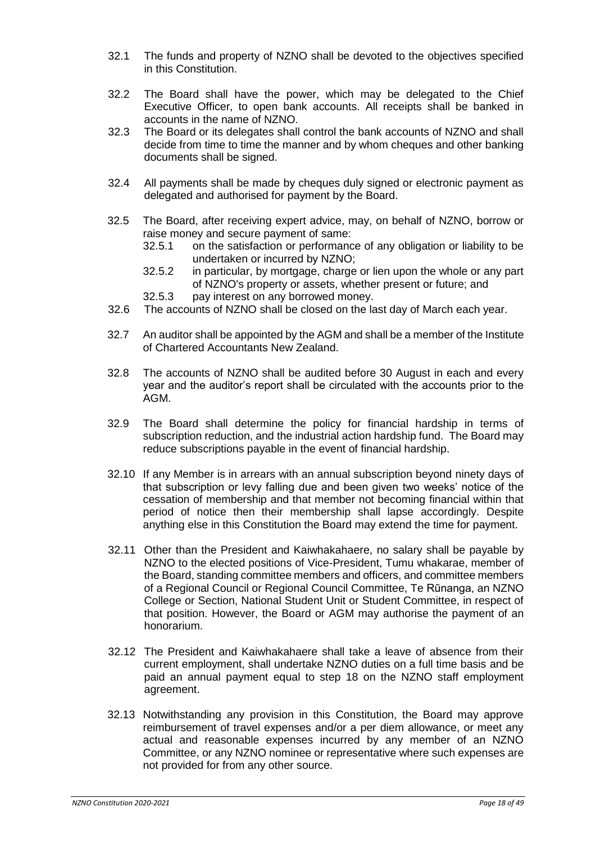- 32.1 The funds and property of NZNO shall be devoted to the objectives specified in this Constitution.
- 32.2 The Board shall have the power, which may be delegated to the Chief Executive Officer, to open bank accounts. All receipts shall be banked in accounts in the name of NZNO.
- 32.3 The Board or its delegates shall control the bank accounts of NZNO and shall decide from time to time the manner and by whom cheques and other banking documents shall be signed.
- 32.4 All payments shall be made by cheques duly signed or electronic payment as delegated and authorised for payment by the Board.
- 32.5 The Board, after receiving expert advice, may, on behalf of NZNO, borrow or raise money and secure payment of same:
	- 32.5.1 on the satisfaction or performance of any obligation or liability to be undertaken or incurred by NZNO;
	- 32.5.2 in particular, by mortgage, charge or lien upon the whole or any part of NZNO's property or assets, whether present or future; and
	- 32.5.3 pay interest on any borrowed money.
- 32.6 The accounts of NZNO shall be closed on the last day of March each year.
- 32.7 An auditor shall be appointed by the AGM and shall be a member of the Institute of Chartered Accountants New Zealand.
- 32.8 The accounts of NZNO shall be audited before 30 August in each and every year and the auditor's report shall be circulated with the accounts prior to the AGM.
- 32.9 The Board shall determine the policy for financial hardship in terms of subscription reduction, and the industrial action hardship fund. The Board may reduce subscriptions payable in the event of financial hardship.
- 32.10 If any Member is in arrears with an annual subscription beyond ninety days of that subscription or levy falling due and been given two weeks' notice of the cessation of membership and that member not becoming financial within that period of notice then their membership shall lapse accordingly. Despite anything else in this Constitution the Board may extend the time for payment.
- 32.11 Other than the President and Kaiwhakahaere, no salary shall be payable by NZNO to the elected positions of Vice-President, Tumu whakarae, member of the Board, standing committee members and officers, and committee members of a Regional Council or Regional Council Committee, Te Rūnanga, an NZNO College or Section, National Student Unit or Student Committee, in respect of that position. However, the Board or AGM may authorise the payment of an honorarium.
- 32.12 The President and Kaiwhakahaere shall take a leave of absence from their current employment, shall undertake NZNO duties on a full time basis and be paid an annual payment equal to step 18 on the NZNO staff employment agreement.
- 32.13 Notwithstanding any provision in this Constitution, the Board may approve reimbursement of travel expenses and/or a per diem allowance, or meet any actual and reasonable expenses incurred by any member of an NZNO Committee, or any NZNO nominee or representative where such expenses are not provided for from any other source.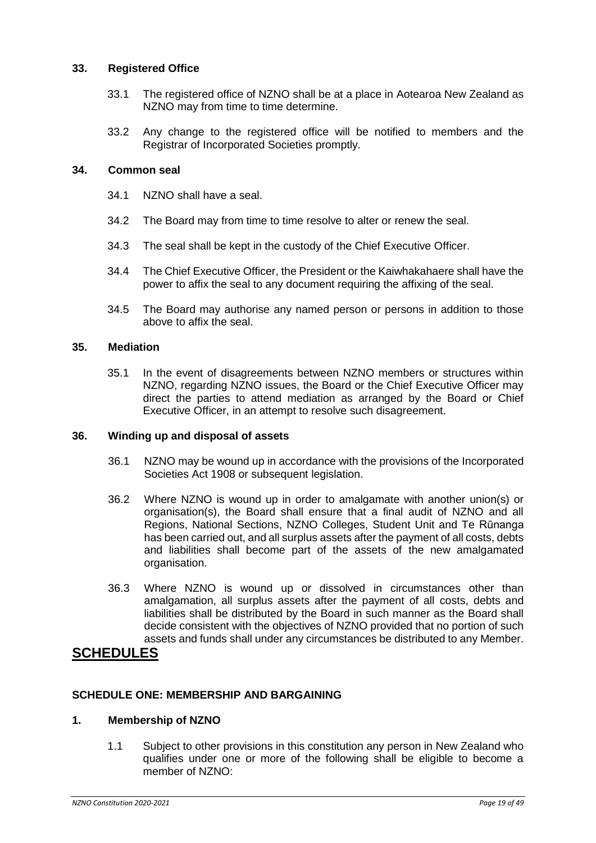#### <span id="page-18-0"></span>**33. Registered Office**

- 33.1 The registered office of NZNO shall be at a place in Aotearoa New Zealand as NZNO may from time to time determine.
- 33.2 Any change to the registered office will be notified to members and the Registrar of Incorporated Societies promptly.

#### <span id="page-18-1"></span>**34. Common seal**

- 34.1 NZNO shall have a seal.
- 34.2 The Board may from time to time resolve to alter or renew the seal.
- 34.3 The seal shall be kept in the custody of the Chief Executive Officer.
- 34.4 The Chief Executive Officer, the President or the Kaiwhakahaere shall have the power to affix the seal to any document requiring the affixing of the seal.
- 34.5 The Board may authorise any named person or persons in addition to those above to affix the seal.

#### <span id="page-18-2"></span>**35. Mediation**

35.1 In the event of disagreements between NZNO members or structures within NZNO, regarding NZNO issues, the Board or the Chief Executive Officer may direct the parties to attend mediation as arranged by the Board or Chief Executive Officer, in an attempt to resolve such disagreement.

#### <span id="page-18-3"></span>**36. Winding up and disposal of assets**

- 36.1 NZNO may be wound up in accordance with the provisions of the Incorporated Societies Act 1908 or subsequent legislation.
- 36.2 Where NZNO is wound up in order to amalgamate with another union(s) or organisation(s), the Board shall ensure that a final audit of NZNO and all Regions, National Sections, NZNO Colleges, Student Unit and Te Rūnanga has been carried out, and all surplus assets after the payment of all costs, debts and liabilities shall become part of the assets of the new amalgamated organisation.
- 36.3 Where NZNO is wound up or dissolved in circumstances other than amalgamation, all surplus assets after the payment of all costs, debts and liabilities shall be distributed by the Board in such manner as the Board shall decide consistent with the objectives of NZNO provided that no portion of such assets and funds shall under any circumstances be distributed to any Member.

# **SCHEDULES**

#### <span id="page-18-4"></span>**SCHEDULE ONE: MEMBERSHIP AND BARGAINING**

#### **1. Membership of NZNO**

1.1 Subject to other provisions in this constitution any person in New Zealand who qualifies under one or more of the following shall be eligible to become a member of NZNO: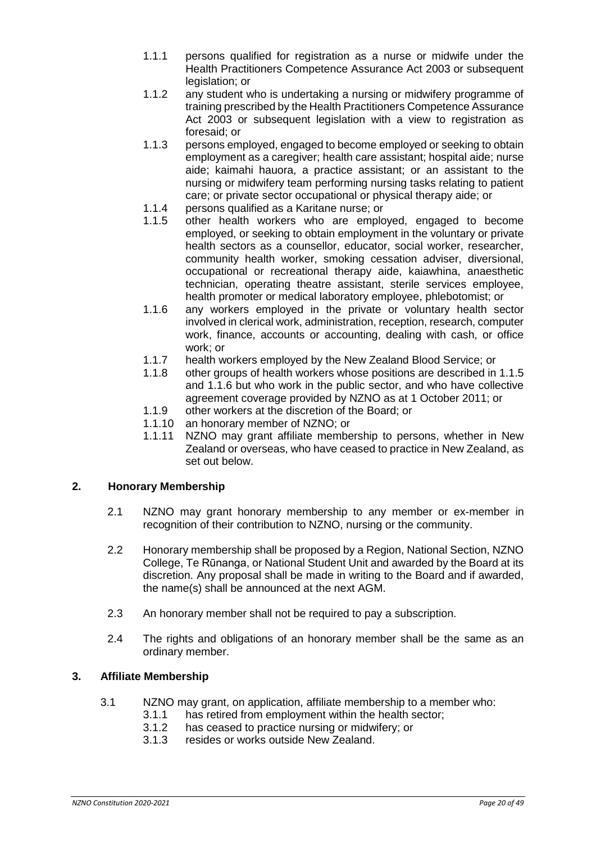- 1.1.1 persons qualified for registration as a nurse or midwife under the Health Practitioners Competence Assurance Act 2003 or subsequent legislation; or
- 1.1.2 any student who is undertaking a nursing or midwifery programme of training prescribed by the Health Practitioners Competence Assurance Act 2003 or subsequent legislation with a view to registration as foresaid; or
- 1.1.3 persons employed, engaged to become employed or seeking to obtain employment as a caregiver; health care assistant; hospital aide; nurse aide; kaimahi hauora, a practice assistant; or an assistant to the nursing or midwifery team performing nursing tasks relating to patient care; or private sector occupational or physical therapy aide; or
- 1.1.4 persons qualified as a Karitane nurse; or
- 1.1.5 other health workers who are employed, engaged to become employed, or seeking to obtain employment in the voluntary or private health sectors as a counsellor, educator, social worker, researcher, community health worker, smoking cessation adviser, diversional, occupational or recreational therapy aide, kaiawhina, anaesthetic technician, operating theatre assistant, sterile services employee, health promoter or medical laboratory employee, phlebotomist; or
- 1.1.6 any workers employed in the private or voluntary health sector involved in clerical work, administration, reception, research, computer work, finance, accounts or accounting, dealing with cash, or office work; or
- 1.1.7 health workers employed by the New Zealand Blood Service; or
- 1.1.8 other groups of health workers whose positions are described in 1.1.5 and 1.1.6 but who work in the public sector, and who have collective agreement coverage provided by NZNO as at 1 October 2011; or
- 1.1.9 other workers at the discretion of the Board; or
- 1.1.10 an honorary member of NZNO; or
- 1.1.11 NZNO may grant affiliate membership to persons, whether in New Zealand or overseas, who have ceased to practice in New Zealand, as set out below.

# **2. Honorary Membership**

- 2.1 NZNO may grant honorary membership to any member or ex-member in recognition of their contribution to NZNO, nursing or the community.
- 2.2 Honorary membership shall be proposed by a Region, National Section, NZNO College, Te Rūnanga, or National Student Unit and awarded by the Board at its discretion. Any proposal shall be made in writing to the Board and if awarded, the name(s) shall be announced at the next AGM.
- 2.3 An honorary member shall not be required to pay a subscription.
- 2.4 The rights and obligations of an honorary member shall be the same as an ordinary member.

# **3. Affiliate Membership**

- 3.1 NZNO may grant, on application, affiliate membership to a member who:
	- 3.1.1 has retired from employment within the health sector;
	- 3.1.2 has ceased to practice nursing or midwifery; or
	- 3.1.3 resides or works outside New Zealand.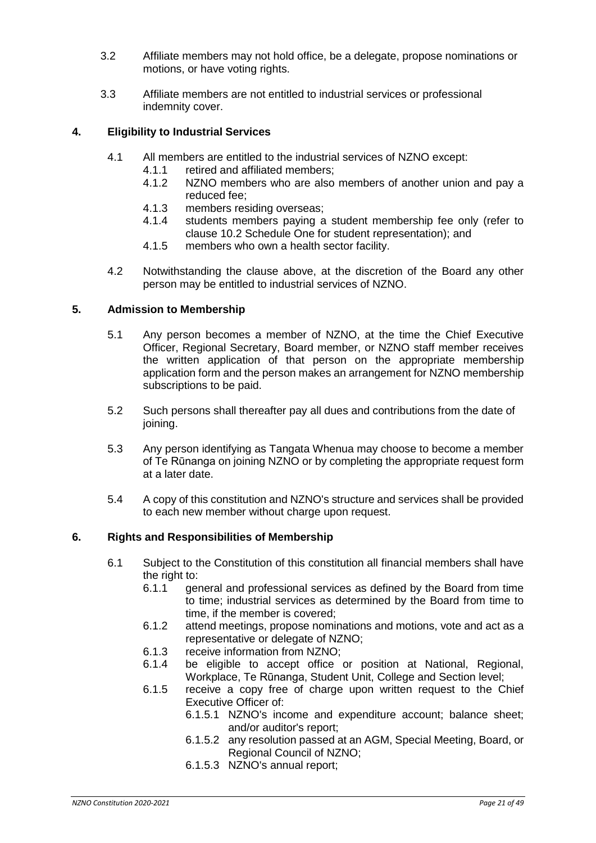- 3.2 Affiliate members may not hold office, be a delegate, propose nominations or motions, or have voting rights.
- 3.3 Affiliate members are not entitled to industrial services or professional indemnity cover.

#### **4. Eligibility to Industrial Services**

- 4.1 All members are entitled to the industrial services of NZNO except:
	- 4.1.1 retired and affiliated members;
	- 4.1.2 NZNO members who are also members of another union and pay a reduced fee;
	- 4.1.3 members residing overseas;
	- 4.1.4 students members paying a student membership fee only (refer to clause 10.2 Schedule One for student representation); and
	- 4.1.5 members who own a health sector facility.
- 4.2 Notwithstanding the clause above, at the discretion of the Board any other person may be entitled to industrial services of NZNO.

#### **5. Admission to Membership**

- 5.1 Any person becomes a member of NZNO, at the time the Chief Executive Officer, Regional Secretary, Board member, or NZNO staff member receives the written application of that person on the appropriate membership application form and the person makes an arrangement for NZNO membership subscriptions to be paid.
- 5.2 Such persons shall thereafter pay all dues and contributions from the date of joining.
- 5.3 Any person identifying as Tangata Whenua may choose to become a member of Te Rūnanga on joining NZNO or by completing the appropriate request form at a later date.
- 5.4 A copy of this constitution and NZNO's structure and services shall be provided to each new member without charge upon request.

#### **6. Rights and Responsibilities of Membership**

- 6.1 Subject to the Constitution of this constitution all financial members shall have the right to:
	- 6.1.1 general and professional services as defined by the Board from time to time; industrial services as determined by the Board from time to time, if the member is covered;
	- 6.1.2 attend meetings, propose nominations and motions, vote and act as a representative or delegate of NZNO;
	- 6.1.3 receive information from NZNO;
	- 6.1.4 be eligible to accept office or position at National, Regional, Workplace, Te Rūnanga, Student Unit, College and Section level;
	- 6.1.5 receive a copy free of charge upon written request to the Chief Executive Officer of:
		- 6.1.5.1 NZNO's income and expenditure account; balance sheet; and/or auditor's report;
		- 6.1.5.2 any resolution passed at an AGM, Special Meeting, Board, or Regional Council of NZNO;
		- 6.1.5.3 NZNO's annual report;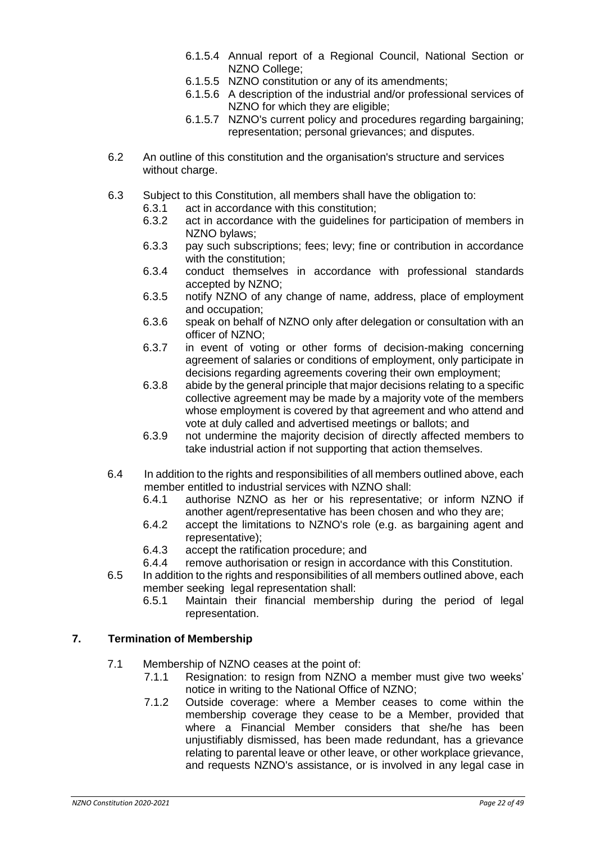- 6.1.5.4 Annual report of a Regional Council, National Section or NZNO College;
- 6.1.5.5 NZNO constitution or any of its amendments;
- 6.1.5.6 A description of the industrial and/or professional services of NZNO for which they are eligible:
- 6.1.5.7 NZNO's current policy and procedures regarding bargaining; representation; personal grievances; and disputes.
- 6.2 An outline of this constitution and the organisation's structure and services without charge.
- 6.3 Subject to this Constitution, all members shall have the obligation to:
	- 6.3.1 act in accordance with this constitution;
	- 6.3.2 act in accordance with the guidelines for participation of members in NZNO bylaws;
	- 6.3.3 pay such subscriptions; fees; levy; fine or contribution in accordance with the constitution;
	- 6.3.4 conduct themselves in accordance with professional standards accepted by NZNO;
	- 6.3.5 notify NZNO of any change of name, address, place of employment and occupation;
	- 6.3.6 speak on behalf of NZNO only after delegation or consultation with an officer of NZNO;
	- 6.3.7 in event of voting or other forms of decision-making concerning agreement of salaries or conditions of employment, only participate in decisions regarding agreements covering their own employment;
	- 6.3.8 abide by the general principle that major decisions relating to a specific collective agreement may be made by a majority vote of the members whose employment is covered by that agreement and who attend and vote at duly called and advertised meetings or ballots; and
	- 6.3.9 not undermine the majority decision of directly affected members to take industrial action if not supporting that action themselves.
- 6.4 In addition to the rights and responsibilities of all members outlined above, each member entitled to industrial services with NZNO shall:<br>6.4.1 authorise NZNO as her or his representative
	- authorise NZNO as her or his representative; or inform NZNO if another agent/representative has been chosen and who they are;
	- 6.4.2 accept the limitations to NZNO's role (e.g. as bargaining agent and representative);
	- 6.4.3 accept the ratification procedure; and
	- 6.4.4 remove authorisation or resign in accordance with this Constitution.
- 6.5 In addition to the rights and responsibilities of all members outlined above, each member seeking legal representation shall:
	- 6.5.1 Maintain their financial membership during the period of legal representation.

#### **7. Termination of Membership**

- 7.1 Membership of NZNO ceases at the point of:
	- 7.1.1 Resignation: to resign from NZNO a member must give two weeks' notice in writing to the National Office of NZNO;
	- 7.1.2 Outside coverage: where a Member ceases to come within the membership coverage they cease to be a Member, provided that where a Financial Member considers that she/he has been unjustifiably dismissed, has been made redundant, has a grievance relating to parental leave or other leave, or other workplace grievance, and requests NZNO's assistance, or is involved in any legal case in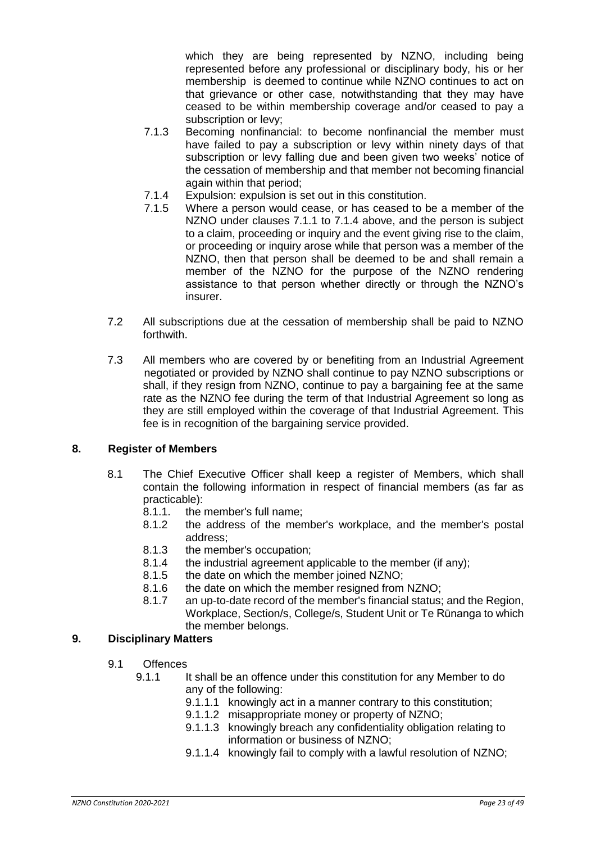which they are being represented by NZNO, including being represented before any professional or disciplinary body, his or her membership is deemed to continue while NZNO continues to act on that grievance or other case, notwithstanding that they may have ceased to be within membership coverage and/or ceased to pay a subscription or levy;

- 7.1.3 Becoming nonfinancial: to become nonfinancial the member must have failed to pay a subscription or levy within ninety days of that subscription or levy falling due and been given two weeks' notice of the cessation of membership and that member not becoming financial again within that period;
- 7.1.4 Expulsion: expulsion is set out in this constitution.
- 7.1.5 Where a person would cease, or has ceased to be a member of the NZNO under clauses 7.1.1 to 7.1.4 above, and the person is subject to a claim, proceeding or inquiry and the event giving rise to the claim, or proceeding or inquiry arose while that person was a member of the NZNO, then that person shall be deemed to be and shall remain a member of the NZNO for the purpose of the NZNO rendering assistance to that person whether directly or through the NZNO's insurer.
- 7.2 All subscriptions due at the cessation of membership shall be paid to NZNO forthwith.
- 7.3 All members who are covered by or benefiting from an Industrial Agreement negotiated or provided by NZNO shall continue to pay NZNO subscriptions or shall, if they resign from NZNO, continue to pay a bargaining fee at the same rate as the NZNO fee during the term of that Industrial Agreement so long as they are still employed within the coverage of that Industrial Agreement. This fee is in recognition of the bargaining service provided.

# **8. Register of Members**

- 8.1 The Chief Executive Officer shall keep a register of Members, which shall contain the following information in respect of financial members (as far as practicable):
	- 8.1.1. the member's full name;
	- 8.1.2 the address of the member's workplace, and the member's postal address;
	- 8.1.3 the member's occupation;
	- 8.1.4 the industrial agreement applicable to the member (if any);
	- 8.1.5 the date on which the member joined NZNO;
	- 8.1.6 the date on which the member resigned from NZNO;
	- 8.1.7 an up-to-date record of the member's financial status; and the Region, Workplace, Section/s, College/s, Student Unit or Te Rūnanga to which the member belongs.

# **9. Disciplinary Matters**

- 9.1 Offences
	- 9.1.1 It shall be an offence under this constitution for any Member to do any of the following:
		- 9.1.1.1 knowingly act in a manner contrary to this constitution;
		- 9.1.1.2 misappropriate money or property of NZNO;
		- 9.1.1.3 knowingly breach any confidentiality obligation relating to information or business of NZNO;
		- 9.1.1.4 knowingly fail to comply with a lawful resolution of NZNO;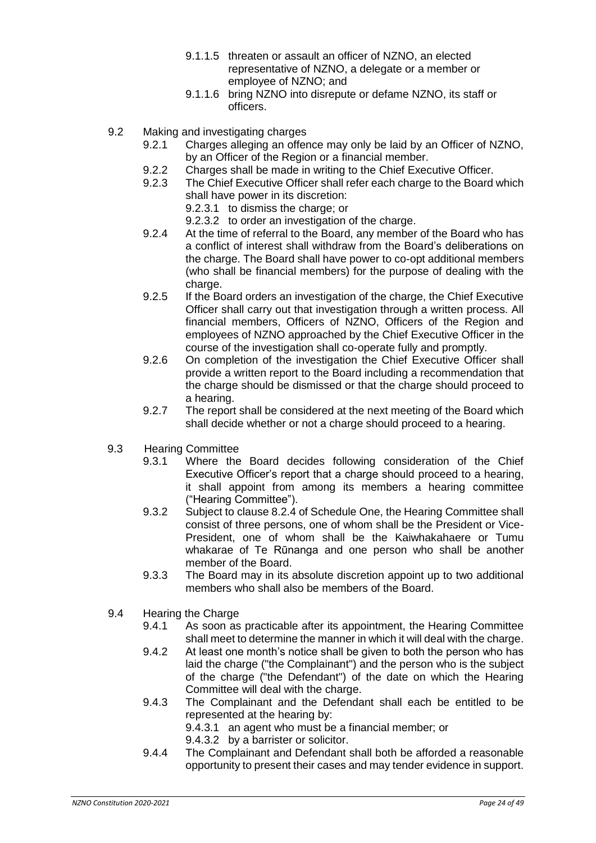- 9.1.1.5 threaten or assault an officer of NZNO, an elected representative of NZNO, a delegate or a member or employee of NZNO; and
- 9.1.1.6 bring NZNO into disrepute or defame NZNO, its staff or officers.
- 9.2 Making and investigating charges
	- 9.2.1 Charges alleging an offence may only be laid by an Officer of NZNO, by an Officer of the Region or a financial member.
	- 9.2.2 Charges shall be made in writing to the Chief Executive Officer.
	- 9.2.3 The Chief Executive Officer shall refer each charge to the Board which shall have power in its discretion:
		- 9.2.3.1 to dismiss the charge: or

9.2.3.2 to order an investigation of the charge.

- 9.2.4 At the time of referral to the Board, any member of the Board who has a conflict of interest shall withdraw from the Board's deliberations on the charge. The Board shall have power to co-opt additional members (who shall be financial members) for the purpose of dealing with the charge.
- 9.2.5 If the Board orders an investigation of the charge, the Chief Executive Officer shall carry out that investigation through a written process. All financial members, Officers of NZNO, Officers of the Region and employees of NZNO approached by the Chief Executive Officer in the course of the investigation shall co-operate fully and promptly.
- 9.2.6 On completion of the investigation the Chief Executive Officer shall provide a written report to the Board including a recommendation that the charge should be dismissed or that the charge should proceed to a hearing.
- 9.2.7 The report shall be considered at the next meeting of the Board which shall decide whether or not a charge should proceed to a hearing.
- 9.3 Hearing Committee
	- 9.3.1 Where the Board decides following consideration of the Chief Executive Officer's report that a charge should proceed to a hearing, it shall appoint from among its members a hearing committee ("Hearing Committee").
	- 9.3.2 Subject to clause 8.2.4 of Schedule One, the Hearing Committee shall consist of three persons, one of whom shall be the President or Vice-President, one of whom shall be the Kaiwhakahaere or Tumu whakarae of Te Rūnanga and one person who shall be another member of the Board.
	- 9.3.3 The Board may in its absolute discretion appoint up to two additional members who shall also be members of the Board.
- 9.4 Hearing the Charge
	- 9.4.1 As soon as practicable after its appointment, the Hearing Committee shall meet to determine the manner in which it will deal with the charge.
	- 9.4.2 At least one month's notice shall be given to both the person who has laid the charge ("the Complainant") and the person who is the subject of the charge ("the Defendant") of the date on which the Hearing Committee will deal with the charge.
	- 9.4.3 The Complainant and the Defendant shall each be entitled to be represented at the hearing by:

9.4.3.1 an agent who must be a financial member; or

9.4.3.2 by a barrister or solicitor.

9.4.4 The Complainant and Defendant shall both be afforded a reasonable opportunity to present their cases and may tender evidence in support.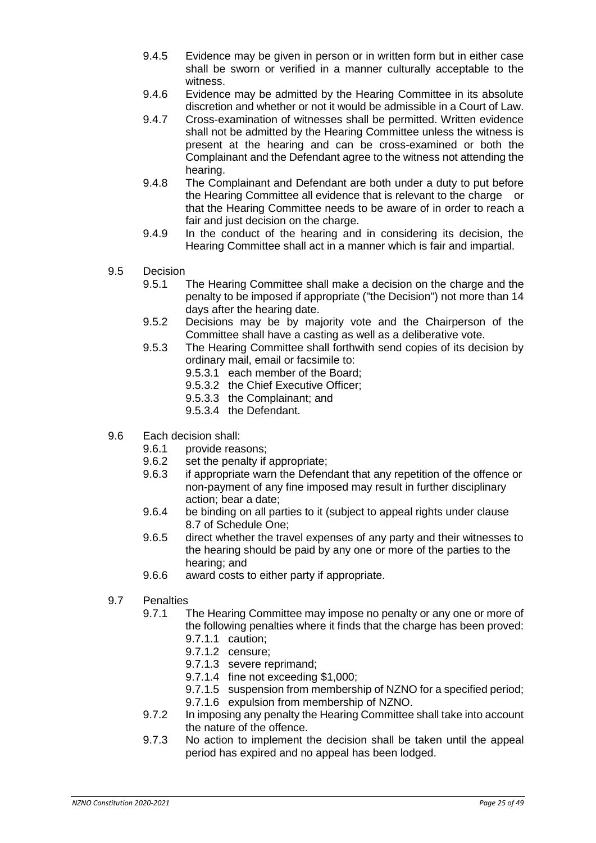- 9.4.5 Evidence may be given in person or in written form but in either case shall be sworn or verified in a manner culturally acceptable to the witness.
- 9.4.6 Evidence may be admitted by the Hearing Committee in its absolute discretion and whether or not it would be admissible in a Court of Law.
- 9.4.7 Cross-examination of witnesses shall be permitted. Written evidence shall not be admitted by the Hearing Committee unless the witness is present at the hearing and can be cross-examined or both the Complainant and the Defendant agree to the witness not attending the hearing.
- 9.4.8 The Complainant and Defendant are both under a duty to put before the Hearing Committee all evidence that is relevant to the charge or that the Hearing Committee needs to be aware of in order to reach a fair and just decision on the charge.
- 9.4.9 In the conduct of the hearing and in considering its decision, the Hearing Committee shall act in a manner which is fair and impartial.
- 9.5 Decision
	- 9.5.1 The Hearing Committee shall make a decision on the charge and the penalty to be imposed if appropriate ("the Decision") not more than 14 days after the hearing date.
	- 9.5.2 Decisions may be by majority vote and the Chairperson of the Committee shall have a casting as well as a deliberative vote.
	- 9.5.3 The Hearing Committee shall forthwith send copies of its decision by ordinary mail, email or facsimile to:
		- 9.5.3.1 each member of the Board;
		- 9.5.3.2 the Chief Executive Officer;
		- 9.5.3.3 the Complainant; and
		- 9.5.3.4 the Defendant.
- 9.6 Each decision shall:
	- 9.6.1 provide reasons;
	- 9.6.2 set the penalty if appropriate;
	- 9.6.3 if appropriate warn the Defendant that any repetition of the offence or non-payment of any fine imposed may result in further disciplinary action; bear a date;
	- 9.6.4 be binding on all parties to it (subject to appeal rights under clause 8.7 of Schedule One;
	- 9.6.5 direct whether the travel expenses of any party and their witnesses to the hearing should be paid by any one or more of the parties to the hearing; and
	- 9.6.6 award costs to either party if appropriate.
- 9.7 Penalties
	- 9.7.1 The Hearing Committee may impose no penalty or any one or more of the following penalties where it finds that the charge has been proved: 9.7.1.1 caution;
		-
		- 9.7.1.2 censure;
		- 9.7.1.3 severe reprimand;
		- 9.7.1.4 fine not exceeding \$1,000;
		- 9.7.1.5 suspension from membership of NZNO for a specified period;
		- 9.7.1.6 expulsion from membership of NZNO.
	- 9.7.2 In imposing any penalty the Hearing Committee shall take into account the nature of the offence.
	- 9.7.3 No action to implement the decision shall be taken until the appeal period has expired and no appeal has been lodged.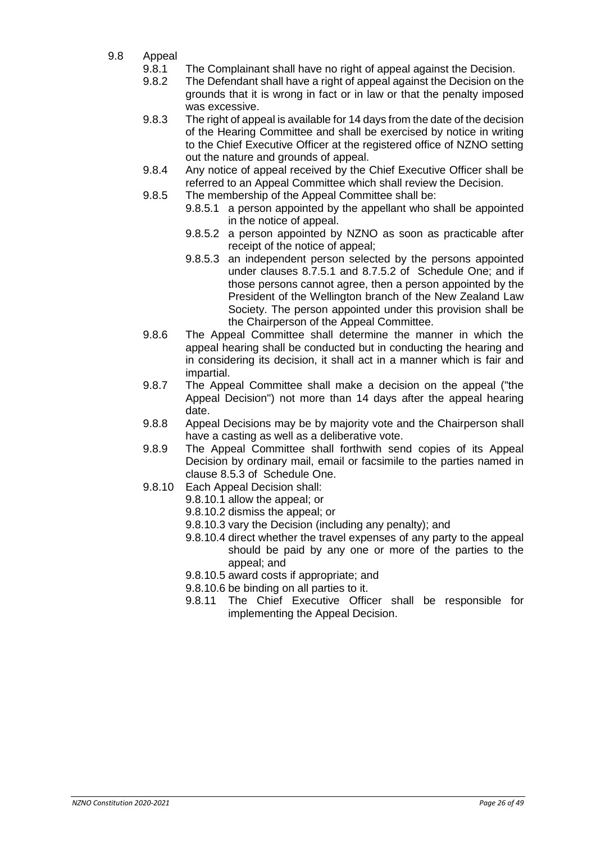- 9.8 Appeal
	- 9.8.1 The Complainant shall have no right of appeal against the Decision.
	- 9.8.2 The Defendant shall have a right of appeal against the Decision on the grounds that it is wrong in fact or in law or that the penalty imposed was excessive.
	- 9.8.3 The right of appeal is available for 14 days from the date of the decision of the Hearing Committee and shall be exercised by notice in writing to the Chief Executive Officer at the registered office of NZNO setting out the nature and grounds of appeal.
	- 9.8.4 Any notice of appeal received by the Chief Executive Officer shall be referred to an Appeal Committee which shall review the Decision.
	- 9.8.5 The membership of the Appeal Committee shall be:
		- 9.8.5.1 a person appointed by the appellant who shall be appointed in the notice of appeal.
		- 9.8.5.2 a person appointed by NZNO as soon as practicable after receipt of the notice of appeal;
		- 9.8.5.3 an independent person selected by the persons appointed under clauses 8.7.5.1 and 8.7.5.2 of Schedule One; and if those persons cannot agree, then a person appointed by the President of the Wellington branch of the New Zealand Law Society. The person appointed under this provision shall be the Chairperson of the Appeal Committee.
	- 9.8.6 The Appeal Committee shall determine the manner in which the appeal hearing shall be conducted but in conducting the hearing and in considering its decision, it shall act in a manner which is fair and impartial.
	- 9.8.7 The Appeal Committee shall make a decision on the appeal ("the Appeal Decision") not more than 14 days after the appeal hearing date.
	- 9.8.8 Appeal Decisions may be by majority vote and the Chairperson shall have a casting as well as a deliberative vote.
	- 9.8.9 The Appeal Committee shall forthwith send copies of its Appeal Decision by ordinary mail, email or facsimile to the parties named in clause 8.5.3 of Schedule One.
	- 9.8.10 Each Appeal Decision shall:
		- 9.8.10.1 allow the appeal; or
		- 9.8.10.2 dismiss the appeal; or
		- 9.8.10.3 vary the Decision (including any penalty); and
		- 9.8.10.4 direct whether the travel expenses of any party to the appeal should be paid by any one or more of the parties to the appeal; and
		- 9.8.10.5 award costs if appropriate; and
		- 9.8.10.6 be binding on all parties to it.
		- 9.8.11 The Chief Executive Officer shall be responsible for implementing the Appeal Decision.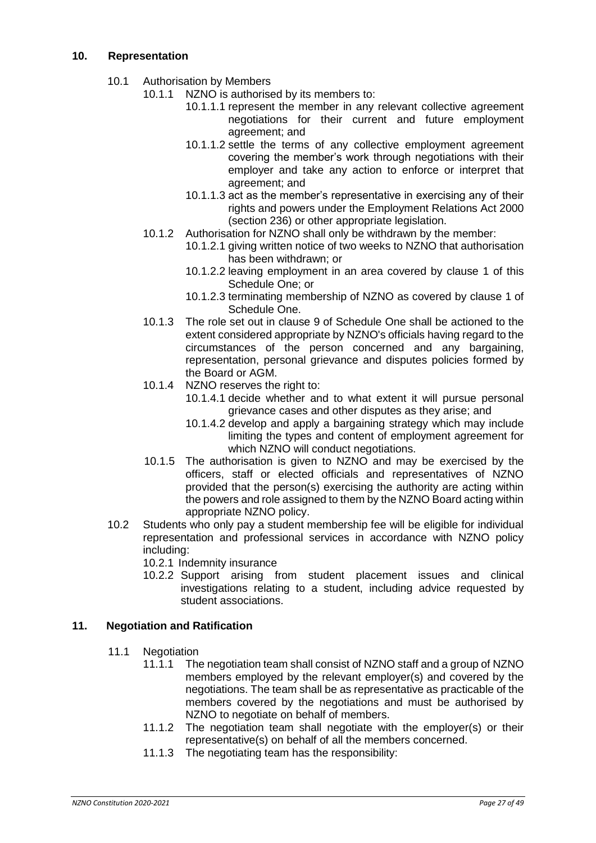- 10.1 Authorisation by Members
	- 10.1.1 NZNO is authorised by its members to:
		- 10.1.1.1 represent the member in any relevant collective agreement negotiations for their current and future employment agreement; and
		- 10.1.1.2 settle the terms of any collective employment agreement covering the member's work through negotiations with their employer and take any action to enforce or interpret that agreement; and
		- 10.1.1.3 act as the member's representative in exercising any of their rights and powers under the Employment Relations Act 2000 (section 236) or other appropriate legislation.
	- 10.1.2 Authorisation for NZNO shall only be withdrawn by the member:
		- 10.1.2.1 giving written notice of two weeks to NZNO that authorisation has been withdrawn; or
		- 10.1.2.2 leaving employment in an area covered by clause 1 of this Schedule One; or
		- 10.1.2.3 terminating membership of NZNO as covered by clause 1 of Schedule One.
	- 10.1.3 The role set out in clause 9 of Schedule One shall be actioned to the extent considered appropriate by NZNO's officials having regard to the circumstances of the person concerned and any bargaining, representation, personal grievance and disputes policies formed by the Board or AGM.
	- 10.1.4 NZNO reserves the right to:
		- 10.1.4.1 decide whether and to what extent it will pursue personal grievance cases and other disputes as they arise; and
		- 10.1.4.2 develop and apply a bargaining strategy which may include limiting the types and content of employment agreement for which NZNO will conduct negotiations.
	- 10.1.5 The authorisation is given to NZNO and may be exercised by the officers, staff or elected officials and representatives of NZNO provided that the person(s) exercising the authority are acting within the powers and role assigned to them by the NZNO Board acting within appropriate NZNO policy.
- 10.2 Students who only pay a student membership fee will be eligible for individual representation and professional services in accordance with NZNO policy including:
	- 10.2.1 Indemnity insurance
	- 10.2.2 Support arising from student placement issues and clinical investigations relating to a student, including advice requested by student associations.

# **11. Negotiation and Ratification**

- 11.1 Negotiation
	- 11.1.1 The negotiation team shall consist of NZNO staff and a group of NZNO members employed by the relevant employer(s) and covered by the negotiations. The team shall be as representative as practicable of the members covered by the negotiations and must be authorised by NZNO to negotiate on behalf of members.
	- 11.1.2 The negotiation team shall negotiate with the employer(s) or their representative(s) on behalf of all the members concerned.
	- 11.1.3 The negotiating team has the responsibility: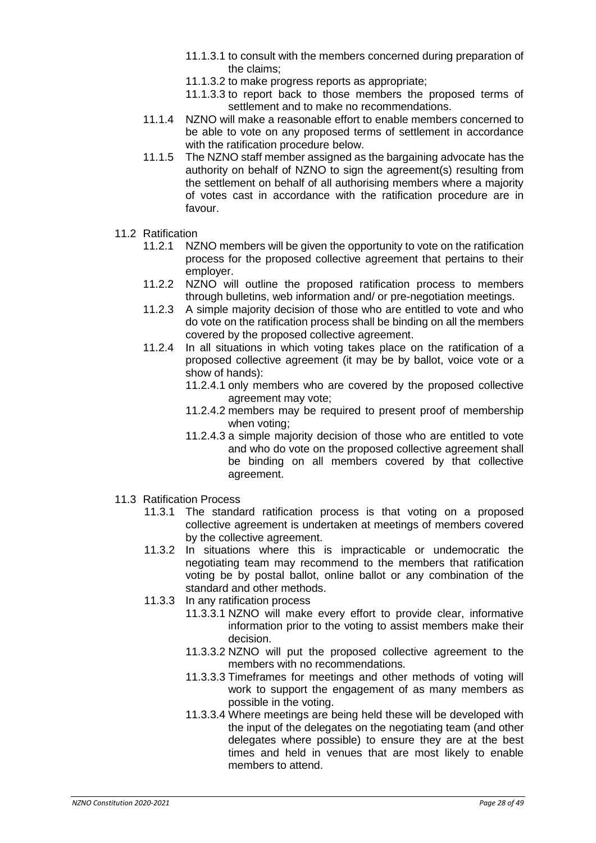- 11.1.3.1 to consult with the members concerned during preparation of the claims;
- 11.1.3.2 to make progress reports as appropriate;
- 11.1.3.3 to report back to those members the proposed terms of settlement and to make no recommendations.
- 11.1.4 NZNO will make a reasonable effort to enable members concerned to be able to vote on any proposed terms of settlement in accordance with the ratification procedure below.
- 11.1.5 The NZNO staff member assigned as the bargaining advocate has the authority on behalf of NZNO to sign the agreement(s) resulting from the settlement on behalf of all authorising members where a majority of votes cast in accordance with the ratification procedure are in favour.
- 11.2 Ratification
	- 11.2.1 NZNO members will be given the opportunity to vote on the ratification process for the proposed collective agreement that pertains to their employer.
	- 11.2.2 NZNO will outline the proposed ratification process to members through bulletins, web information and/ or pre-negotiation meetings.
	- 11.2.3 A simple majority decision of those who are entitled to vote and who do vote on the ratification process shall be binding on all the members covered by the proposed collective agreement.
	- 11.2.4 In all situations in which voting takes place on the ratification of a proposed collective agreement (it may be by ballot, voice vote or a show of hands):
		- 11.2.4.1 only members who are covered by the proposed collective agreement may vote;
		- 11.2.4.2 members may be required to present proof of membership when voting:
		- 11.2.4.3 a simple majority decision of those who are entitled to vote and who do vote on the proposed collective agreement shall be binding on all members covered by that collective agreement.
- 11.3 Ratification Process
	- 11.3.1 The standard ratification process is that voting on a proposed collective agreement is undertaken at meetings of members covered by the collective agreement.
	- 11.3.2 In situations where this is impracticable or undemocratic the negotiating team may recommend to the members that ratification voting be by postal ballot, online ballot or any combination of the standard and other methods.
	- 11.3.3 In any ratification process
		- 11.3.3.1 NZNO will make every effort to provide clear, informative information prior to the voting to assist members make their decision.
		- 11.3.3.2 NZNO will put the proposed collective agreement to the members with no recommendations.
		- 11.3.3.3 Timeframes for meetings and other methods of voting will work to support the engagement of as many members as possible in the voting.
		- 11.3.3.4 Where meetings are being held these will be developed with the input of the delegates on the negotiating team (and other delegates where possible) to ensure they are at the best times and held in venues that are most likely to enable members to attend.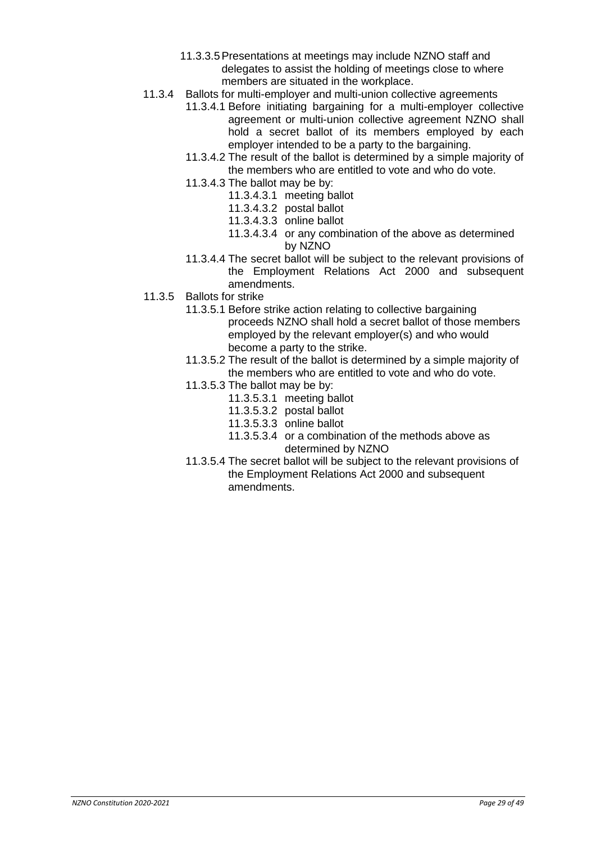- 11.3.3.5Presentations at meetings may include NZNO staff and delegates to assist the holding of meetings close to where members are situated in the workplace.
- 11.3.4 Ballots for multi-employer and multi-union collective agreements
	- 11.3.4.1 Before initiating bargaining for a multi-employer collective agreement or multi-union collective agreement NZNO shall hold a secret ballot of its members employed by each employer intended to be a party to the bargaining.
	- 11.3.4.2 The result of the ballot is determined by a simple majority of the members who are entitled to vote and who do vote.
	- 11.3.4.3 The ballot may be by:
		- 11.3.4.3.1 meeting ballot
		- 11.3.4.3.2 postal ballot
		- 11.3.4.3.3 online ballot
		- 11.3.4.3.4 or any combination of the above as determined by NZNO
	- 11.3.4.4 The secret ballot will be subject to the relevant provisions of the Employment Relations Act 2000 and subsequent amendments.
- 11.3.5 Ballots for strike
	- 11.3.5.1 Before strike action relating to collective bargaining proceeds NZNO shall hold a secret ballot of those members employed by the relevant employer(s) and who would become a party to the strike.
	- 11.3.5.2 The result of the ballot is determined by a simple majority of the members who are entitled to vote and who do vote.
	- 11.3.5.3 The ballot may be by:
		- 11.3.5.3.1 meeting ballot
		- 11.3.5.3.2 postal ballot
		- 11.3.5.3.3 online ballot
		- 11.3.5.3.4 or a combination of the methods above as determined by NZNO
	- 11.3.5.4 The secret ballot will be subject to the relevant provisions of the Employment Relations Act 2000 and subsequent amendments.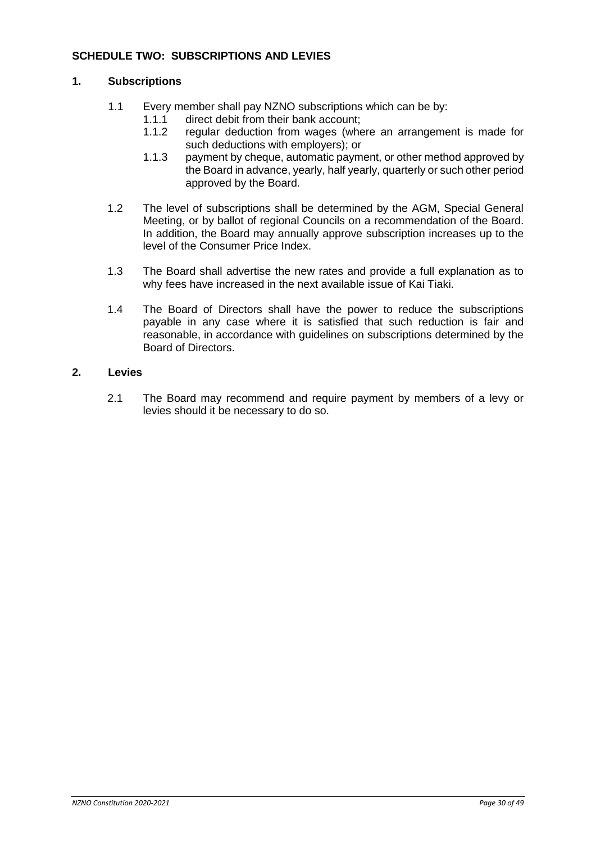# <span id="page-29-0"></span>**SCHEDULE TWO: SUBSCRIPTIONS AND LEVIES**

#### **1. Subscriptions**

- 1.1 Every member shall pay NZNO subscriptions which can be by:
	- 1.1.1 direct debit from their bank account;
	- 1.1.2 regular deduction from wages (where an arrangement is made for such deductions with employers); or
	- 1.1.3 payment by cheque, automatic payment, or other method approved by the Board in advance, yearly, half yearly, quarterly or such other period approved by the Board.
- 1.2 The level of subscriptions shall be determined by the AGM, Special General Meeting, or by ballot of regional Councils on a recommendation of the Board. In addition, the Board may annually approve subscription increases up to the level of the Consumer Price Index.
- 1.3 The Board shall advertise the new rates and provide a full explanation as to why fees have increased in the next available issue of Kai Tiaki.
- 1.4 The Board of Directors shall have the power to reduce the subscriptions payable in any case where it is satisfied that such reduction is fair and reasonable, in accordance with guidelines on subscriptions determined by the Board of Directors.

#### **2. Levies**

<span id="page-29-1"></span>2.1 The Board may recommend and require payment by members of a levy or levies should it be necessary to do so.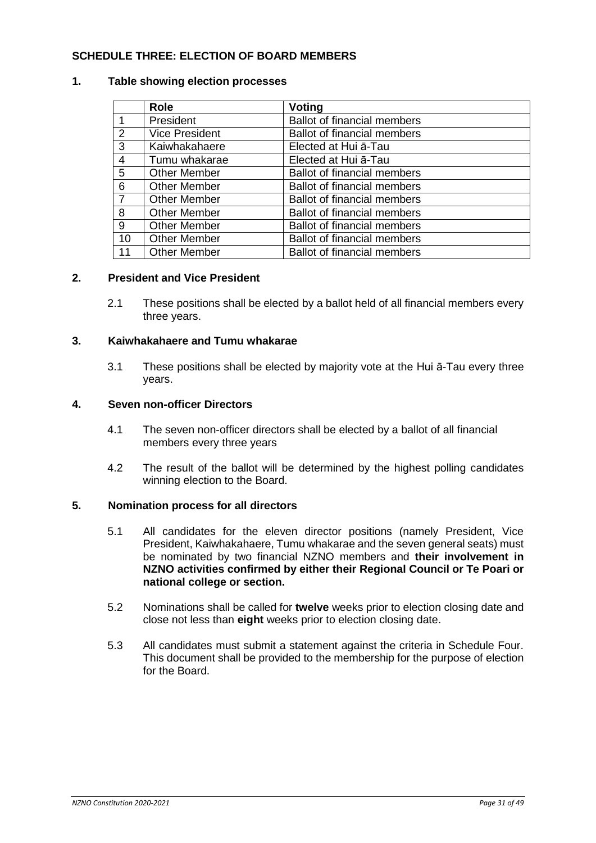# **SCHEDULE THREE: ELECTION OF BOARD MEMBERS**

#### **1. Table showing election processes**

|                | <b>Role</b>           | <b>Voting</b>                      |
|----------------|-----------------------|------------------------------------|
|                | President             | <b>Ballot of financial members</b> |
| 2              | <b>Vice President</b> | <b>Ballot of financial members</b> |
| $\mathbf{3}$   | Kaiwhakahaere         | Elected at Hui a-Tau               |
| $\overline{4}$ | Tumu whakarae         | Elected at Hui a-Tau               |
| $5\phantom{1}$ | <b>Other Member</b>   | <b>Ballot of financial members</b> |
| $\overline{6}$ | <b>Other Member</b>   | <b>Ballot of financial members</b> |
| $\overline{7}$ | <b>Other Member</b>   | <b>Ballot of financial members</b> |
| 8              | <b>Other Member</b>   | <b>Ballot of financial members</b> |
| 9              | <b>Other Member</b>   | <b>Ballot of financial members</b> |
| 10             | <b>Other Member</b>   | <b>Ballot of financial members</b> |
| 11             | <b>Other Member</b>   | <b>Ballot of financial members</b> |

#### **2. President and Vice President**

2.1 These positions shall be elected by a ballot held of all financial members every three years.

#### **3. Kaiwhakahaere and Tumu whakarae**

3.1 These positions shall be elected by majority vote at the Hui ā-Tau every three years.

#### **4. Seven non-officer Directors**

- 4.1 The seven non-officer directors shall be elected by a ballot of all financial members every three years
- 4.2 The result of the ballot will be determined by the highest polling candidates winning election to the Board.

#### **5. Nomination process for all directors**

- 5.1 All candidates for the eleven director positions (namely President, Vice President, Kaiwhakahaere, Tumu whakarae and the seven general seats) must be nominated by two financial NZNO members and **their involvement in NZNO activities confirmed by either their Regional Council or Te Poari or national college or section.**
- 5.2 Nominations shall be called for **twelve** weeks prior to election closing date and close not less than **eight** weeks prior to election closing date.
- 5.3 All candidates must submit a statement against the criteria in Schedule Four. This document shall be provided to the membership for the purpose of election for the Board.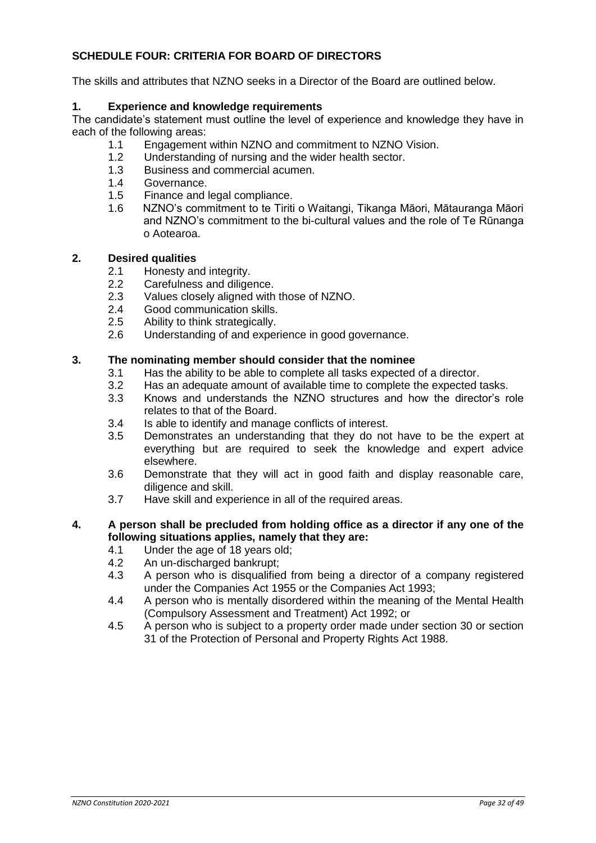# <span id="page-31-0"></span>**SCHEDULE FOUR: CRITERIA FOR BOARD OF DIRECTORS**

The skills and attributes that NZNO seeks in a Director of the Board are outlined below.

# **1. Experience and knowledge requirements**

The candidate's statement must outline the level of experience and knowledge they have in each of the following areas:

- 1.1 Engagement within NZNO and commitment to NZNO Vision.
- 1.2 Understanding of nursing and the wider health sector.
- 1.3 Business and commercial acumen.
- 1.4 Governance.
- 1.5 Finance and legal compliance.
- 1.6 NZNO's commitment to te Tiriti o Waitangi, Tikanga Māori, Mātauranga Māori and NZNO's commitment to the bi-cultural values and the role of Te Rūnanga o Aotearoa.

#### **2. Desired qualities**

- 2.1 Honesty and integrity.
- 2.2 Carefulness and diligence.
- 2.3 Values closely aligned with those of NZNO.
- 2.4 Good communication skills.
- 2.5 Ability to think strategically.
- 2.6 Understanding of and experience in good governance.

#### **3. The nominating member should consider that the nominee**

- 3.1 Has the ability to be able to complete all tasks expected of a director.
- 3.2 Has an adequate amount of available time to complete the expected tasks.
- 3.3 Knows and understands the NZNO structures and how the director's role relates to that of the Board.
- 3.4 Is able to identify and manage conflicts of interest.
- 3.5 Demonstrates an understanding that they do not have to be the expert at everything but are required to seek the knowledge and expert advice elsewhere.
- 3.6 Demonstrate that they will act in good faith and display reasonable care, diligence and skill.
- 3.7 Have skill and experience in all of the required areas.

#### **4. A person shall be precluded from holding office as a director if any one of the following situations applies, namely that they are:**

- 4.1 Under the age of 18 years old;
- 4.2 An un-discharged bankrupt;
- 4.3 A person who is disqualified from being a director of a company registered under the Companies Act 1955 or the Companies Act 1993;
- 4.4 A person who is mentally disordered within the meaning of the Mental Health (Compulsory Assessment and Treatment) Act 1992; or
- 4.5 A person who is subject to a property order made under section 30 or section 31 of the Protection of Personal and Property Rights Act 1988.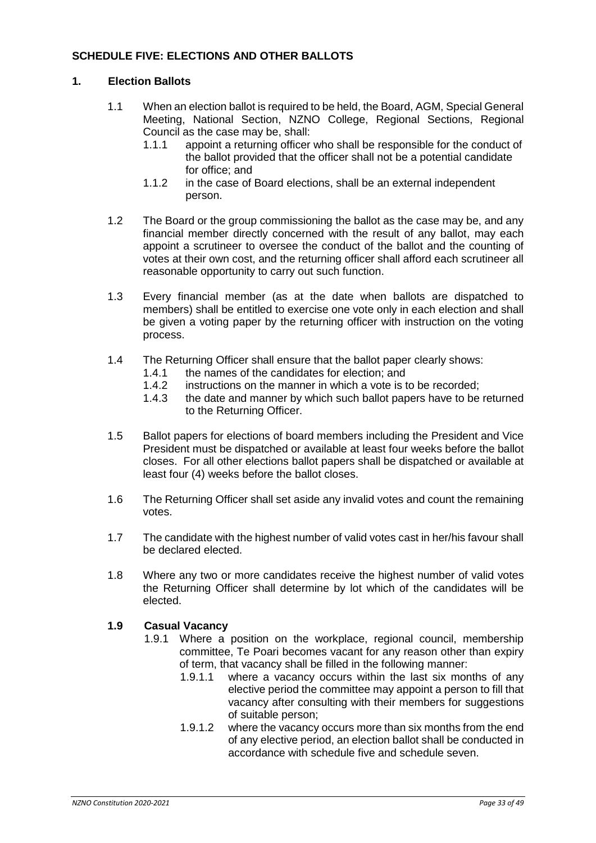# <span id="page-32-0"></span>**SCHEDULE FIVE: ELECTIONS AND OTHER BALLOTS**

#### **1. Election Ballots**

- 1.1 When an election ballot is required to be held, the Board, AGM, Special General Meeting, National Section, NZNO College, Regional Sections, Regional Council as the case may be, shall:
	- 1.1.1 appoint a returning officer who shall be responsible for the conduct of the ballot provided that the officer shall not be a potential candidate for office; and
	- 1.1.2 in the case of Board elections, shall be an external independent person.
- 1.2 The Board or the group commissioning the ballot as the case may be, and any financial member directly concerned with the result of any ballot, may each appoint a scrutineer to oversee the conduct of the ballot and the counting of votes at their own cost, and the returning officer shall afford each scrutineer all reasonable opportunity to carry out such function.
- 1.3 Every financial member (as at the date when ballots are dispatched to members) shall be entitled to exercise one vote only in each election and shall be given a voting paper by the returning officer with instruction on the voting process.
- 1.4 The Returning Officer shall ensure that the ballot paper clearly shows:
	- 1.4.1 the names of the candidates for election; and
	- 1.4.2 instructions on the manner in which a vote is to be recorded;
	- 1.4.3 the date and manner by which such ballot papers have to be returned to the Returning Officer.
- 1.5 Ballot papers for elections of board members including the President and Vice President must be dispatched or available at least four weeks before the ballot closes. For all other elections ballot papers shall be dispatched or available at least four (4) weeks before the ballot closes.
- 1.6 The Returning Officer shall set aside any invalid votes and count the remaining votes.
- 1.7 The candidate with the highest number of valid votes cast in her/his favour shall be declared elected.
- 1.8 Where any two or more candidates receive the highest number of valid votes the Returning Officer shall determine by lot which of the candidates will be elected.

#### **1.9 Casual Vacancy**

- 1.9.1 Where a position on the workplace, regional council, membership committee, Te Poari becomes vacant for any reason other than expiry of term, that vacancy shall be filled in the following manner:
	- 1.9.1.1 where a vacancy occurs within the last six months of any elective period the committee may appoint a person to fill that vacancy after consulting with their members for suggestions of suitable person;
	- 1.9.1.2 where the vacancy occurs more than six months from the end of any elective period, an election ballot shall be conducted in accordance with schedule five and schedule seven.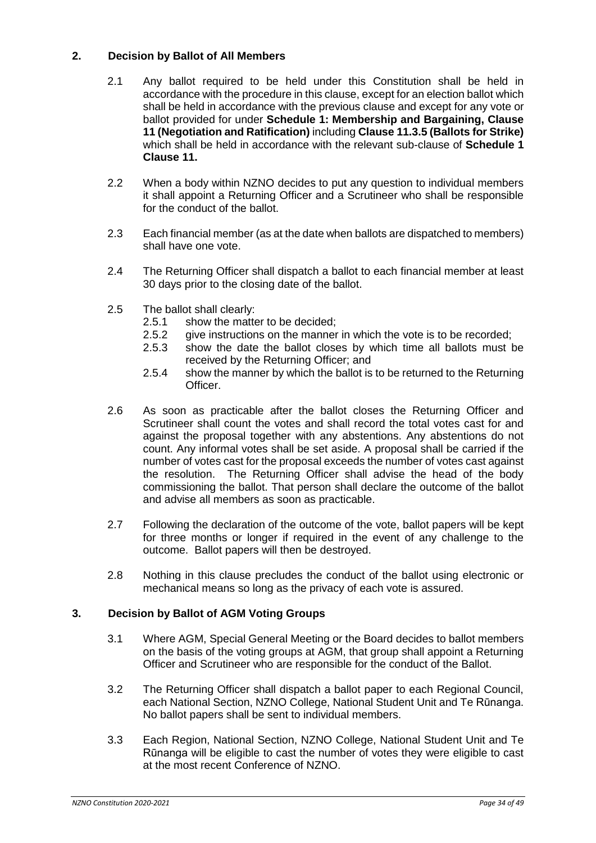# **2. Decision by Ballot of All Members**

- 2.1 Any ballot required to be held under this Constitution shall be held in accordance with the procedure in this clause, except for an election ballot which shall be held in accordance with the previous clause and except for any vote or ballot provided for under **Schedule 1: Membership and Bargaining, Clause 11 (Negotiation and Ratification)** including **Clause 11.3.5 (Ballots for Strike)** which shall be held in accordance with the relevant sub-clause of **Schedule 1 Clause 11.**
- 2.2 When a body within NZNO decides to put any question to individual members it shall appoint a Returning Officer and a Scrutineer who shall be responsible for the conduct of the ballot.
- 2.3 Each financial member (as at the date when ballots are dispatched to members) shall have one vote.
- 2.4 The Returning Officer shall dispatch a ballot to each financial member at least 30 days prior to the closing date of the ballot.
- 2.5 The ballot shall clearly:
	- 2.5.1 show the matter to be decided;
	- 2.5.2 give instructions on the manner in which the vote is to be recorded;
	- 2.5.3 show the date the ballot closes by which time all ballots must be received by the Returning Officer; and
	- 2.5.4 show the manner by which the ballot is to be returned to the Returning Officer.
- 2.6 As soon as practicable after the ballot closes the Returning Officer and Scrutineer shall count the votes and shall record the total votes cast for and against the proposal together with any abstentions. Any abstentions do not count. Any informal votes shall be set aside. A proposal shall be carried if the number of votes cast for the proposal exceeds the number of votes cast against the resolution. The Returning Officer shall advise the head of the body commissioning the ballot. That person shall declare the outcome of the ballot and advise all members as soon as practicable.
- 2.7 Following the declaration of the outcome of the vote, ballot papers will be kept for three months or longer if required in the event of any challenge to the outcome. Ballot papers will then be destroyed.
- 2.8 Nothing in this clause precludes the conduct of the ballot using electronic or mechanical means so long as the privacy of each vote is assured.

#### **3. Decision by Ballot of AGM Voting Groups**

- 3.1 Where AGM, Special General Meeting or the Board decides to ballot members on the basis of the voting groups at AGM, that group shall appoint a Returning Officer and Scrutineer who are responsible for the conduct of the Ballot.
- 3.2 The Returning Officer shall dispatch a ballot paper to each Regional Council, each National Section, NZNO College, National Student Unit and Te Rūnanga. No ballot papers shall be sent to individual members.
- 3.3 Each Region, National Section, NZNO College, National Student Unit and Te Rūnanga will be eligible to cast the number of votes they were eligible to cast at the most recent Conference of NZNO.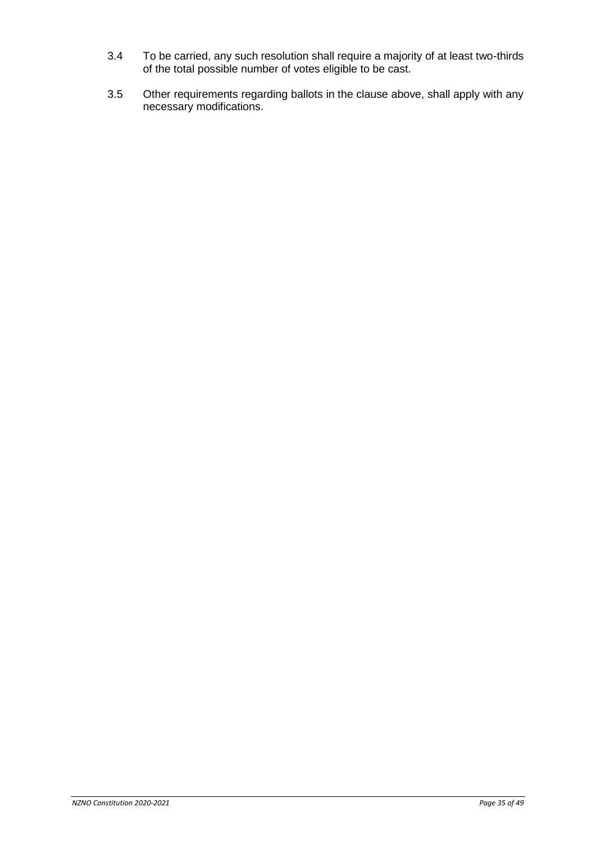- 3.4 To be carried, any such resolution shall require a majority of at least two-thirds of the total possible number of votes eligible to be cast.
- 3.5 Other requirements regarding ballots in the clause above, shall apply with any necessary modifications.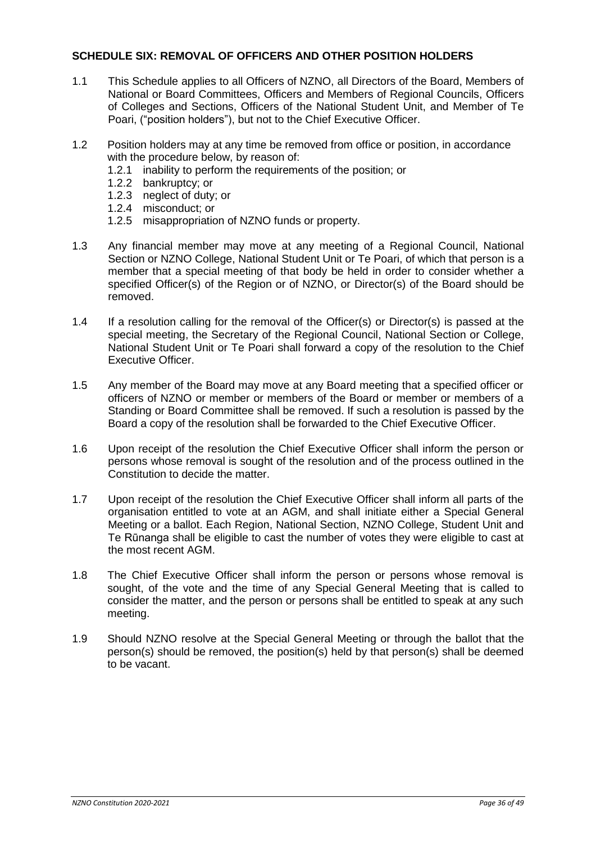# <span id="page-35-0"></span>**SCHEDULE SIX: REMOVAL OF OFFICERS AND OTHER POSITION HOLDERS**

- 1.1 This Schedule applies to all Officers of NZNO, all Directors of the Board, Members of National or Board Committees, Officers and Members of Regional Councils, Officers of Colleges and Sections, Officers of the National Student Unit, and Member of Te Poari, ("position holders"), but not to the Chief Executive Officer.
- 1.2 Position holders may at any time be removed from office or position, in accordance with the procedure below, by reason of:
	- 1.2.1 inability to perform the requirements of the position; or
	- 1.2.2 bankruptcy; or
	- 1.2.3 neglect of duty; or
	- 1.2.4 misconduct; or
	- 1.2.5 misappropriation of NZNO funds or property.
- 1.3 Any financial member may move at any meeting of a Regional Council, National Section or NZNO College, National Student Unit or Te Poari, of which that person is a member that a special meeting of that body be held in order to consider whether a specified Officer(s) of the Region or of NZNO, or Director(s) of the Board should be removed.
- 1.4 If a resolution calling for the removal of the Officer(s) or Director(s) is passed at the special meeting, the Secretary of the Regional Council, National Section or College, National Student Unit or Te Poari shall forward a copy of the resolution to the Chief Executive Officer.
- 1.5 Any member of the Board may move at any Board meeting that a specified officer or officers of NZNO or member or members of the Board or member or members of a Standing or Board Committee shall be removed. If such a resolution is passed by the Board a copy of the resolution shall be forwarded to the Chief Executive Officer.
- 1.6 Upon receipt of the resolution the Chief Executive Officer shall inform the person or persons whose removal is sought of the resolution and of the process outlined in the Constitution to decide the matter.
- 1.7 Upon receipt of the resolution the Chief Executive Officer shall inform all parts of the organisation entitled to vote at an AGM, and shall initiate either a Special General Meeting or a ballot. Each Region, National Section, NZNO College, Student Unit and Te Rūnanga shall be eligible to cast the number of votes they were eligible to cast at the most recent AGM.
- 1.8 The Chief Executive Officer shall inform the person or persons whose removal is sought, of the vote and the time of any Special General Meeting that is called to consider the matter, and the person or persons shall be entitled to speak at any such meeting.
- 1.9 Should NZNO resolve at the Special General Meeting or through the ballot that the person(s) should be removed, the position(s) held by that person(s) shall be deemed to be vacant.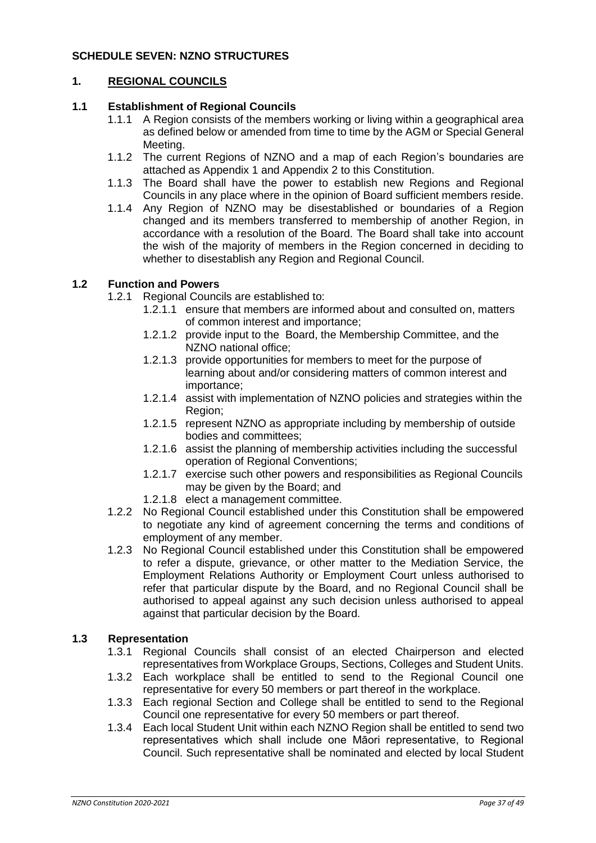# <span id="page-36-0"></span>**SCHEDULE SEVEN: NZNO STRUCTURES**

# **1. REGIONAL COUNCILS**

# **1.1 Establishment of Regional Councils**

- 1.1.1 A Region consists of the members working or living within a geographical area as defined below or amended from time to time by the AGM or Special General Meeting.
- 1.1.2 The current Regions of NZNO and a map of each Region's boundaries are attached as Appendix 1 and Appendix 2 to this Constitution.
- 1.1.3 The Board shall have the power to establish new Regions and Regional Councils in any place where in the opinion of Board sufficient members reside.
- 1.1.4 Any Region of NZNO may be disestablished or boundaries of a Region changed and its members transferred to membership of another Region, in accordance with a resolution of the Board. The Board shall take into account the wish of the majority of members in the Region concerned in deciding to whether to disestablish any Region and Regional Council.

#### **1.2 Function and Powers**

- 1.2.1 Regional Councils are established to:
	- 1.2.1.1 ensure that members are informed about and consulted on, matters of common interest and importance;
	- 1.2.1.2 provide input to the Board, the Membership Committee, and the NZNO national office;
	- 1.2.1.3 provide opportunities for members to meet for the purpose of learning about and/or considering matters of common interest and importance;
	- 1.2.1.4 assist with implementation of NZNO policies and strategies within the Region;
	- 1.2.1.5 represent NZNO as appropriate including by membership of outside bodies and committees;
	- 1.2.1.6 assist the planning of membership activities including the successful operation of Regional Conventions;
	- 1.2.1.7 exercise such other powers and responsibilities as Regional Councils may be given by the Board; and
	- 1.2.1.8 elect a management committee.
- 1.2.2 No Regional Council established under this Constitution shall be empowered to negotiate any kind of agreement concerning the terms and conditions of employment of any member.
- 1.2.3 No Regional Council established under this Constitution shall be empowered to refer a dispute, grievance, or other matter to the Mediation Service, the Employment Relations Authority or Employment Court unless authorised to refer that particular dispute by the Board, and no Regional Council shall be authorised to appeal against any such decision unless authorised to appeal against that particular decision by the Board.

#### **1.3 Representation**

- 1.3.1 Regional Councils shall consist of an elected Chairperson and elected representatives from Workplace Groups, Sections, Colleges and Student Units.
- 1.3.2 Each workplace shall be entitled to send to the Regional Council one representative for every 50 members or part thereof in the workplace.
- 1.3.3 Each regional Section and College shall be entitled to send to the Regional Council one representative for every 50 members or part thereof.
- 1.3.4 Each local Student Unit within each NZNO Region shall be entitled to send two representatives which shall include one Māori representative, to Regional Council. Such representative shall be nominated and elected by local Student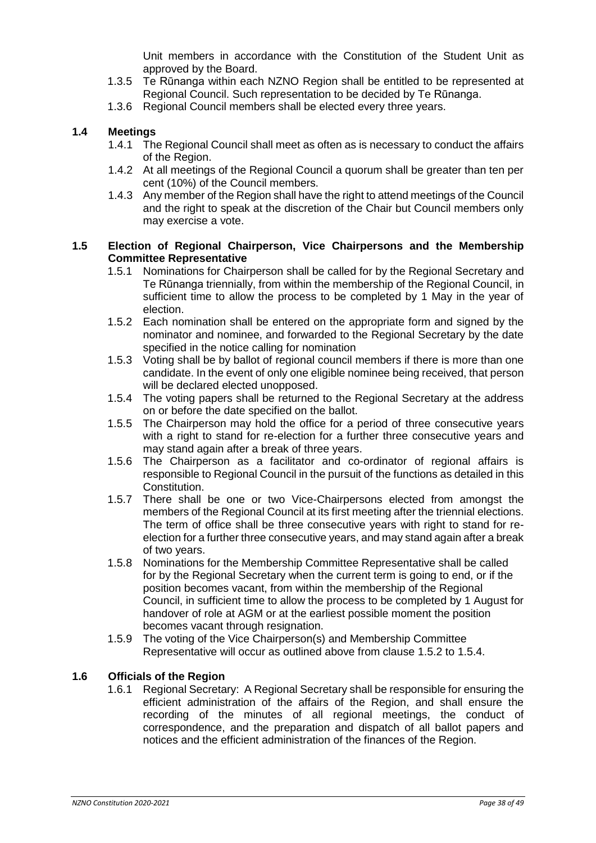Unit members in accordance with the Constitution of the Student Unit as approved by the Board.

- 1.3.5 Te Rūnanga within each NZNO Region shall be entitled to be represented at Regional Council. Such representation to be decided by Te Rūnanga.
- 1.3.6 Regional Council members shall be elected every three years.

# **1.4 Meetings**

- 1.4.1 The Regional Council shall meet as often as is necessary to conduct the affairs of the Region.
- 1.4.2 At all meetings of the Regional Council a quorum shall be greater than ten per cent (10%) of the Council members.
- 1.4.3 Any member of the Region shall have the right to attend meetings of the Council and the right to speak at the discretion of the Chair but Council members only may exercise a vote.

#### **1.5 Election of Regional Chairperson, Vice Chairpersons and the Membership Committee Representative**

- 1.5.1 Nominations for Chairperson shall be called for by the Regional Secretary and Te Rūnanga triennially, from within the membership of the Regional Council, in sufficient time to allow the process to be completed by 1 May in the year of election.
- 1.5.2 Each nomination shall be entered on the appropriate form and signed by the nominator and nominee, and forwarded to the Regional Secretary by the date specified in the notice calling for nomination
- 1.5.3 Voting shall be by ballot of regional council members if there is more than one candidate. In the event of only one eligible nominee being received, that person will be declared elected unopposed.
- 1.5.4 The voting papers shall be returned to the Regional Secretary at the address on or before the date specified on the ballot.
- 1.5.5 The Chairperson may hold the office for a period of three consecutive years with a right to stand for re-election for a further three consecutive years and may stand again after a break of three years.
- 1.5.6 The Chairperson as a facilitator and co-ordinator of regional affairs is responsible to Regional Council in the pursuit of the functions as detailed in this Constitution.
- 1.5.7 There shall be one or two Vice-Chairpersons elected from amongst the members of the Regional Council at its first meeting after the triennial elections. The term of office shall be three consecutive years with right to stand for reelection for a further three consecutive years, and may stand again after a break of two years.
- 1.5.8 Nominations for the Membership Committee Representative shall be called for by the Regional Secretary when the current term is going to end, or if the position becomes vacant, from within the membership of the Regional Council, in sufficient time to allow the process to be completed by 1 August for handover of role at AGM or at the earliest possible moment the position becomes vacant through resignation.
- 1.5.9 The voting of the Vice Chairperson(s) and Membership Committee Representative will occur as outlined above from clause 1.5.2 to 1.5.4.

#### **1.6 Officials of the Region**

1.6.1 Regional Secretary: A Regional Secretary shall be responsible for ensuring the efficient administration of the affairs of the Region, and shall ensure the recording of the minutes of all regional meetings, the conduct of correspondence, and the preparation and dispatch of all ballot papers and notices and the efficient administration of the finances of the Region.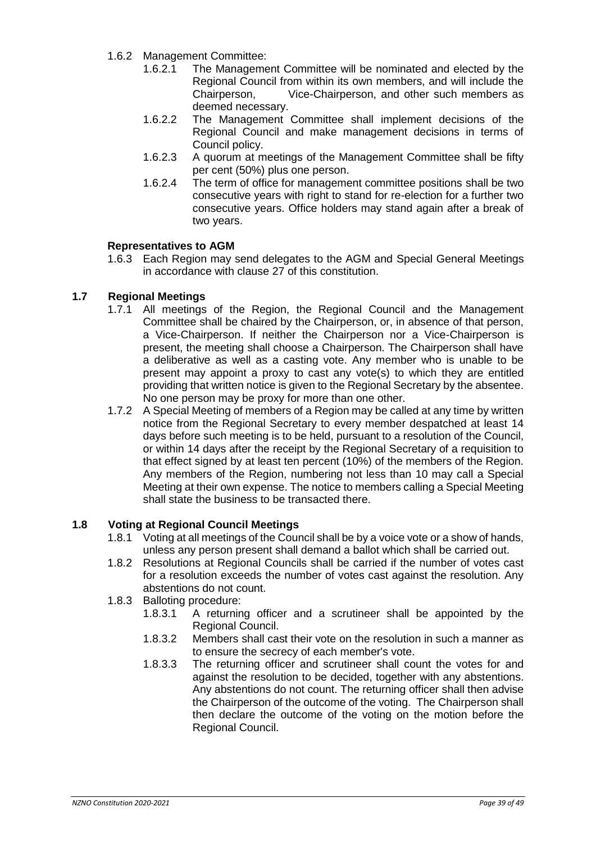- 1.6.2 Management Committee:
	- 1.6.2.1 The Management Committee will be nominated and elected by the Regional Council from within its own members, and will include the Chairperson, Vice-Chairperson, and other such members as deemed necessary.
	- 1.6.2.2 The Management Committee shall implement decisions of the Regional Council and make management decisions in terms of Council policy.
	- 1.6.2.3 A quorum at meetings of the Management Committee shall be fifty per cent (50%) plus one person.
	- 1.6.2.4 The term of office for management committee positions shall be two consecutive years with right to stand for re-election for a further two consecutive years. Office holders may stand again after a break of two years.

#### **Representatives to AGM**

1.6.3 Each Region may send delegates to the AGM and Special General Meetings in accordance with clause 27 of this constitution.

# **1.7 Regional Meetings**

- 1.7.1 All meetings of the Region, the Regional Council and the Management Committee shall be chaired by the Chairperson, or, in absence of that person, a Vice-Chairperson. If neither the Chairperson nor a Vice-Chairperson is present, the meeting shall choose a Chairperson. The Chairperson shall have a deliberative as well as a casting vote. Any member who is unable to be present may appoint a proxy to cast any vote(s) to which they are entitled providing that written notice is given to the Regional Secretary by the absentee. No one person may be proxy for more than one other.
- 1.7.2 A Special Meeting of members of a Region may be called at any time by written notice from the Regional Secretary to every member despatched at least 14 days before such meeting is to be held, pursuant to a resolution of the Council, or within 14 days after the receipt by the Regional Secretary of a requisition to that effect signed by at least ten percent (10%) of the members of the Region. Any members of the Region, numbering not less than 10 may call a Special Meeting at their own expense. The notice to members calling a Special Meeting shall state the business to be transacted there.

#### **1.8 Voting at Regional Council Meetings**

- 1.8.1 Voting at all meetings of the Council shall be by a voice vote or a show of hands, unless any person present shall demand a ballot which shall be carried out.
- 1.8.2 Resolutions at Regional Councils shall be carried if the number of votes cast for a resolution exceeds the number of votes cast against the resolution. Any abstentions do not count.
- 1.8.3 Balloting procedure:
	- 1.8.3.1 A returning officer and a scrutineer shall be appointed by the Regional Council.
	- 1.8.3.2 Members shall cast their vote on the resolution in such a manner as to ensure the secrecy of each member's vote.
	- 1.8.3.3 The returning officer and scrutineer shall count the votes for and against the resolution to be decided, together with any abstentions. Any abstentions do not count. The returning officer shall then advise the Chairperson of the outcome of the voting. The Chairperson shall then declare the outcome of the voting on the motion before the Regional Council.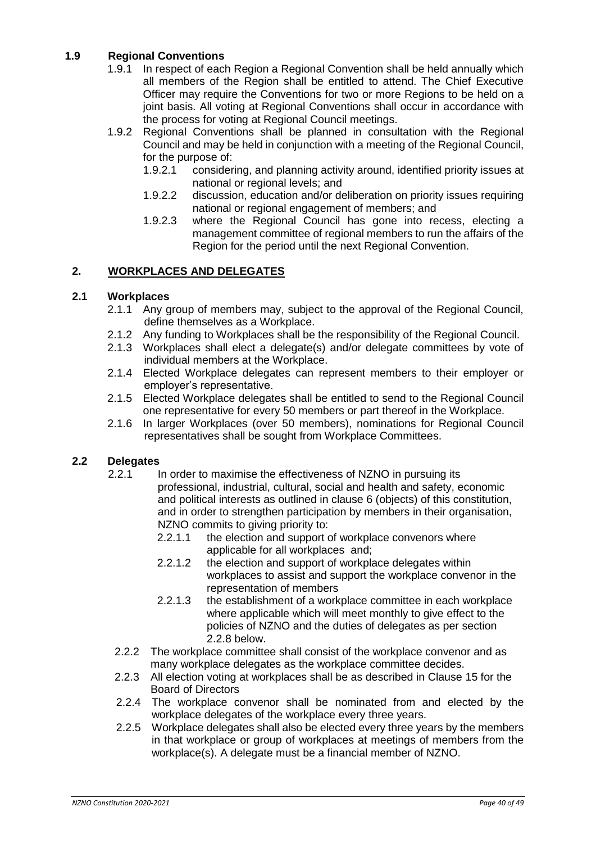# **1.9 Regional Conventions**

- 1.9.1 In respect of each Region a Regional Convention shall be held annually which all members of the Region shall be entitled to attend. The Chief Executive Officer may require the Conventions for two or more Regions to be held on a joint basis. All voting at Regional Conventions shall occur in accordance with the process for voting at Regional Council meetings.
- 1.9.2 Regional Conventions shall be planned in consultation with the Regional Council and may be held in conjunction with a meeting of the Regional Council, for the purpose of:
	- 1.9.2.1 considering, and planning activity around, identified priority issues at national or regional levels; and
	- 1.9.2.2 discussion, education and/or deliberation on priority issues requiring national or regional engagement of members; and
	- 1.9.2.3 where the Regional Council has gone into recess, electing a management committee of regional members to run the affairs of the Region for the period until the next Regional Convention.

# **2. WORKPLACES AND DELEGATES**

#### **2.1 Workplaces**

- 2.1.1 Any group of members may, subject to the approval of the Regional Council, define themselves as a Workplace.
- 2.1.2 Any funding to Workplaces shall be the responsibility of the Regional Council.
- 2.1.3 Workplaces shall elect a delegate(s) and/or delegate committees by vote of individual members at the Workplace.
- 2.1.4 Elected Workplace delegates can represent members to their employer or employer's representative.
- 2.1.5 Elected Workplace delegates shall be entitled to send to the Regional Council one representative for every 50 members or part thereof in the Workplace.
- 2.1.6 In larger Workplaces (over 50 members), nominations for Regional Council representatives shall be sought from Workplace Committees.

#### **2.2 Delegates**

- 2.2.1 In order to maximise the effectiveness of NZNO in pursuing its professional, industrial, cultural, social and health and safety, economic and political interests as outlined in clause 6 (objects) of this constitution, and in order to strengthen participation by members in their organisation, NZNO commits to giving priority to:
	- 2.2.1.1 the election and support of workplace convenors where applicable for all workplaces and;
	- 2.2.1.2 the election and support of workplace delegates within workplaces to assist and support the workplace convenor in the representation of members
	- 2.2.1.3 the establishment of a workplace committee in each workplace where applicable which will meet monthly to give effect to the policies of NZNO and the duties of delegates as per section 2.2.8 below.
	- 2.2.2 The workplace committee shall consist of the workplace convenor and as many workplace delegates as the workplace committee decides.
	- 2.2.3 All election voting at workplaces shall be as described in Clause 15 for the Board of Directors
	- 2.2.4 The workplace convenor shall be nominated from and elected by the workplace delegates of the workplace every three years.
	- 2.2.5 Workplace delegates shall also be elected every three years by the members in that workplace or group of workplaces at meetings of members from the workplace(s). A delegate must be a financial member of NZNO.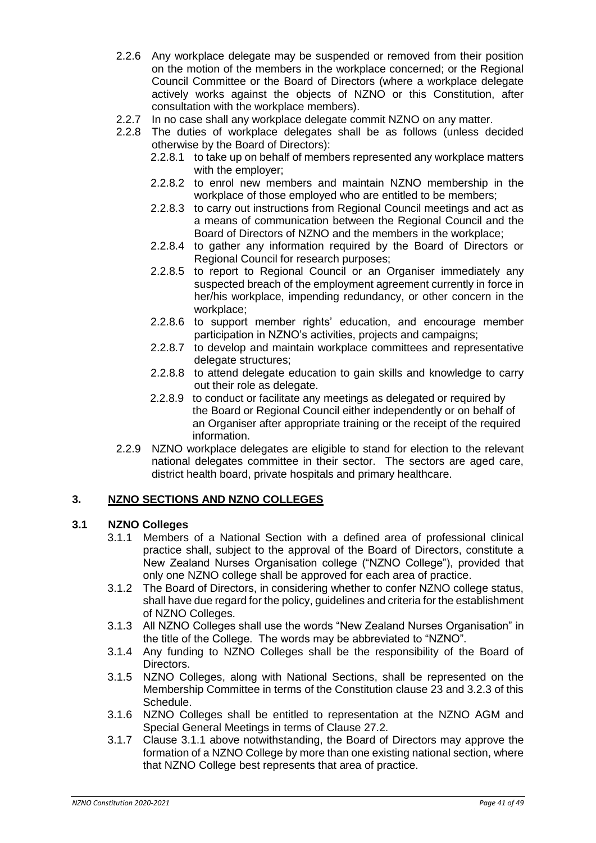- 2.2.6 Any workplace delegate may be suspended or removed from their position on the motion of the members in the workplace concerned; or the Regional Council Committee or the Board of Directors (where a workplace delegate actively works against the objects of NZNO or this Constitution, after consultation with the workplace members).
- 2.2.7 In no case shall any workplace delegate commit NZNO on any matter.
- 2.2.8 The duties of workplace delegates shall be as follows (unless decided otherwise by the Board of Directors):
	- 2.2.8.1 to take up on behalf of members represented any workplace matters with the employer;
	- 2.2.8.2 to enrol new members and maintain NZNO membership in the workplace of those employed who are entitled to be members;
	- 2.2.8.3 to carry out instructions from Regional Council meetings and act as a means of communication between the Regional Council and the Board of Directors of NZNO and the members in the workplace;
	- 2.2.8.4 to gather any information required by the Board of Directors or Regional Council for research purposes;
	- 2.2.8.5 to report to Regional Council or an Organiser immediately any suspected breach of the employment agreement currently in force in her/his workplace, impending redundancy, or other concern in the workplace;
	- 2.2.8.6 to support member rights' education, and encourage member participation in NZNO's activities, projects and campaigns;
	- 2.2.8.7 to develop and maintain workplace committees and representative delegate structures;
	- 2.2.8.8 to attend delegate education to gain skills and knowledge to carry out their role as delegate.
	- 2.2.8.9 to conduct or facilitate any meetings as delegated or required by the Board or Regional Council either independently or on behalf of an Organiser after appropriate training or the receipt of the required information.
- 2.2.9 NZNO workplace delegates are eligible to stand for election to the relevant national delegates committee in their sector. The sectors are aged care, district health board, private hospitals and primary healthcare.

# **3. NZNO SECTIONS AND NZNO COLLEGES**

#### **3.1 NZNO Colleges**

- 3.1.1 Members of a National Section with a defined area of professional clinical practice shall, subject to the approval of the Board of Directors, constitute a New Zealand Nurses Organisation college ("NZNO College"), provided that only one NZNO college shall be approved for each area of practice.
- 3.1.2 The Board of Directors, in considering whether to confer NZNO college status, shall have due regard for the policy, guidelines and criteria for the establishment of NZNO Colleges.
- 3.1.3 All NZNO Colleges shall use the words "New Zealand Nurses Organisation" in the title of the College. The words may be abbreviated to "NZNO".
- 3.1.4 Any funding to NZNO Colleges shall be the responsibility of the Board of Directors.
- 3.1.5 NZNO Colleges, along with National Sections, shall be represented on the Membership Committee in terms of the Constitution clause 23 and 3.2.3 of this Schedule.
- 3.1.6 NZNO Colleges shall be entitled to representation at the NZNO AGM and Special General Meetings in terms of Clause 27.2.
- 3.1.7 Clause 3.1.1 above notwithstanding, the Board of Directors may approve the formation of a NZNO College by more than one existing national section, where that NZNO College best represents that area of practice.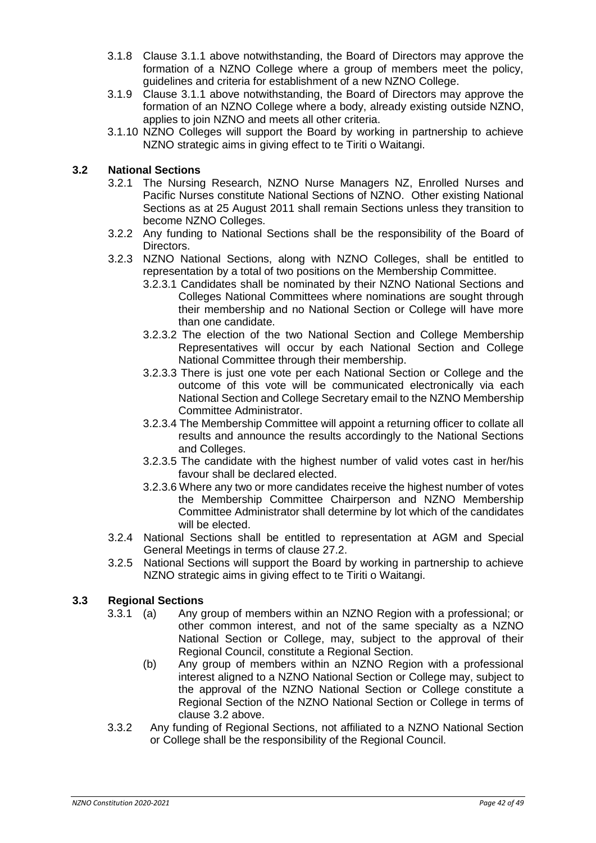- 3.1.8 Clause 3.1.1 above notwithstanding, the Board of Directors may approve the formation of a NZNO College where a group of members meet the policy, guidelines and criteria for establishment of a new NZNO College.
- 3.1.9 Clause 3.1.1 above notwithstanding, the Board of Directors may approve the formation of an NZNO College where a body, already existing outside NZNO, applies to join NZNO and meets all other criteria.
- 3.1.10 NZNO Colleges will support the Board by working in partnership to achieve NZNO strategic aims in giving effect to te Tiriti o Waitangi.

# **3.2 National Sections**

- 3.2.1 The Nursing Research, NZNO Nurse Managers NZ, Enrolled Nurses and Pacific Nurses constitute National Sections of NZNO. Other existing National Sections as at 25 August 2011 shall remain Sections unless they transition to become NZNO Colleges.
- 3.2.2 Any funding to National Sections shall be the responsibility of the Board of Directors.
- 3.2.3 NZNO National Sections, along with NZNO Colleges, shall be entitled to representation by a total of two positions on the Membership Committee.
	- 3.2.3.1 Candidates shall be nominated by their NZNO National Sections and Colleges National Committees where nominations are sought through their membership and no National Section or College will have more than one candidate.
	- 3.2.3.2 The election of the two National Section and College Membership Representatives will occur by each National Section and College National Committee through their membership.
	- 3.2.3.3 There is just one vote per each National Section or College and the outcome of this vote will be communicated electronically via each National Section and College Secretary email to the NZNO Membership Committee Administrator.
	- 3.2.3.4 The Membership Committee will appoint a returning officer to collate all results and announce the results accordingly to the National Sections and Colleges.
	- 3.2.3.5 The candidate with the highest number of valid votes cast in her/his favour shall be declared elected.
	- 3.2.3.6 Where any two or more candidates receive the highest number of votes the Membership Committee Chairperson and NZNO Membership Committee Administrator shall determine by lot which of the candidates will be elected.
- 3.2.4 National Sections shall be entitled to representation at AGM and Special General Meetings in terms of clause 27.2.
- 3.2.5 National Sections will support the Board by working in partnership to achieve NZNO strategic aims in giving effect to te Tiriti o Waitangi.

# **3.3 Regional Sections**

- 3.3.1 (a) Any group of members within an NZNO Region with a professional; or other common interest, and not of the same specialty as a NZNO National Section or College, may, subject to the approval of their Regional Council, constitute a Regional Section.
	- (b) Any group of members within an NZNO Region with a professional interest aligned to a NZNO National Section or College may, subject to the approval of the NZNO National Section or College constitute a Regional Section of the NZNO National Section or College in terms of clause 3.2 above.
- 3.3.2 Any funding of Regional Sections, not affiliated to a NZNO National Section or College shall be the responsibility of the Regional Council.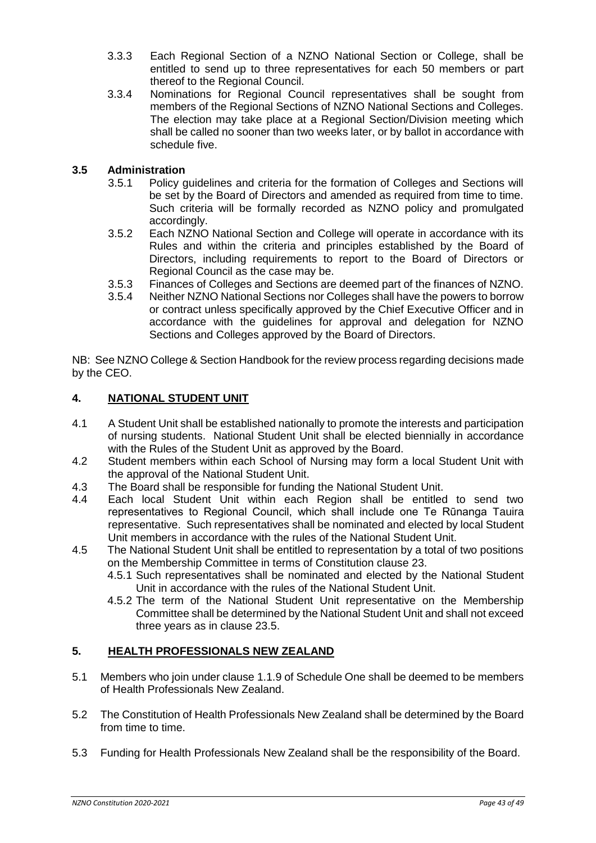- 3.3.3 Each Regional Section of a NZNO National Section or College, shall be entitled to send up to three representatives for each 50 members or part thereof to the Regional Council.
- 3.3.4 Nominations for Regional Council representatives shall be sought from members of the Regional Sections of NZNO National Sections and Colleges. The election may take place at a Regional Section/Division meeting which shall be called no sooner than two weeks later, or by ballot in accordance with schedule five.

# **3.5 Administration**

- 3.5.1 Policy guidelines and criteria for the formation of Colleges and Sections will be set by the Board of Directors and amended as required from time to time. Such criteria will be formally recorded as NZNO policy and promulgated accordingly.
- 3.5.2 Each NZNO National Section and College will operate in accordance with its Rules and within the criteria and principles established by the Board of Directors, including requirements to report to the Board of Directors or Regional Council as the case may be.
- 3.5.3 Finances of Colleges and Sections are deemed part of the finances of NZNO.
- 3.5.4 Neither NZNO National Sections nor Colleges shall have the powers to borrow or contract unless specifically approved by the Chief Executive Officer and in accordance with the guidelines for approval and delegation for NZNO Sections and Colleges approved by the Board of Directors.

NB: See NZNO College & Section Handbook for the review process regarding decisions made by the CEO.

# **4. NATIONAL STUDENT UNIT**

- 4.1 A Student Unit shall be established nationally to promote the interests and participation of nursing students. National Student Unit shall be elected biennially in accordance with the Rules of the Student Unit as approved by the Board.
- 4.2 Student members within each School of Nursing may form a local Student Unit with the approval of the National Student Unit.
- 4.3 The Board shall be responsible for funding the National Student Unit.
- 4.4 Each local Student Unit within each Region shall be entitled to send two representatives to Regional Council, which shall include one Te Rūnanga Tauira representative. Such representatives shall be nominated and elected by local Student Unit members in accordance with the rules of the National Student Unit.
- 4.5 The National Student Unit shall be entitled to representation by a total of two positions on the Membership Committee in terms of Constitution clause 23.
	- 4.5.1 Such representatives shall be nominated and elected by the National Student Unit in accordance with the rules of the National Student Unit.
	- 4.5.2 The term of the National Student Unit representative on the Membership Committee shall be determined by the National Student Unit and shall not exceed three years as in clause 23.5.

# **5. HEALTH PROFESSIONALS NEW ZEALAND**

- 5.1 Members who join under clause 1.1.9 of Schedule One shall be deemed to be members of Health Professionals New Zealand.
- 5.2 The Constitution of Health Professionals New Zealand shall be determined by the Board from time to time.
- 5.3 Funding for Health Professionals New Zealand shall be the responsibility of the Board.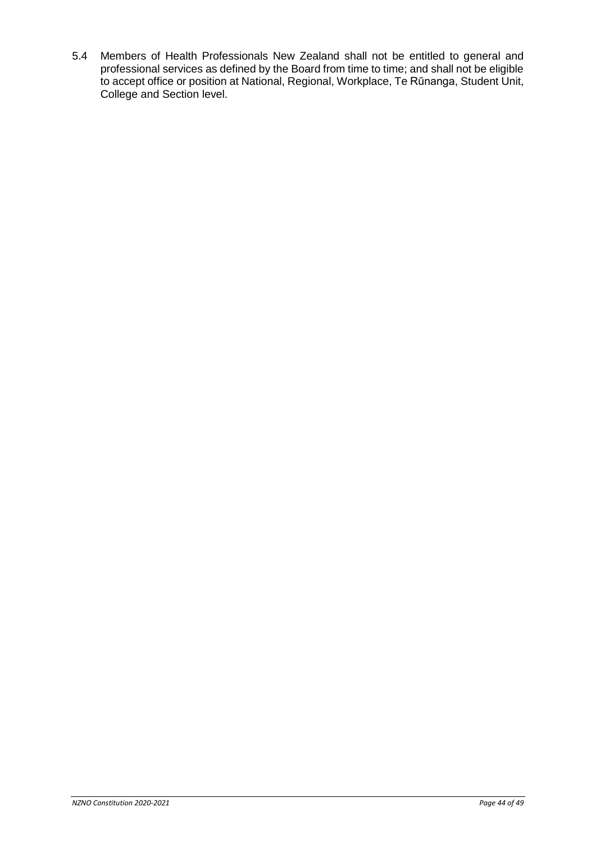5.4 Members of Health Professionals New Zealand shall not be entitled to general and professional services as defined by the Board from time to time; and shall not be eligible to accept office or position at National, Regional, Workplace, Te Rūnanga, Student Unit, College and Section level.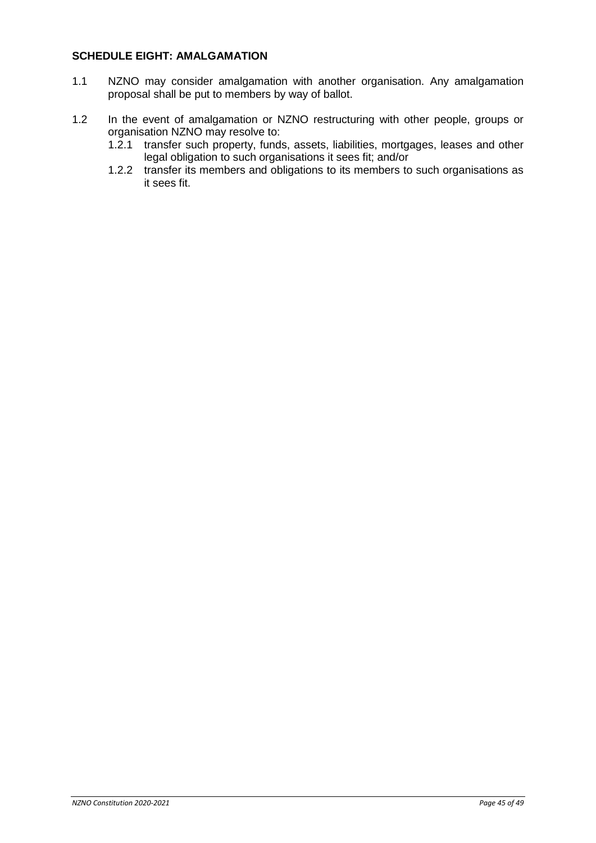#### <span id="page-44-0"></span>**SCHEDULE EIGHT: AMALGAMATION**

- 1.1 NZNO may consider amalgamation with another organisation. Any amalgamation proposal shall be put to members by way of ballot.
- 1.2 In the event of amalgamation or NZNO restructuring with other people, groups or organisation NZNO may resolve to:
	- 1.2.1 transfer such property, funds, assets, liabilities, mortgages, leases and other legal obligation to such organisations it sees fit; and/or
	- 1.2.2 transfer its members and obligations to its members to such organisations as it sees fit.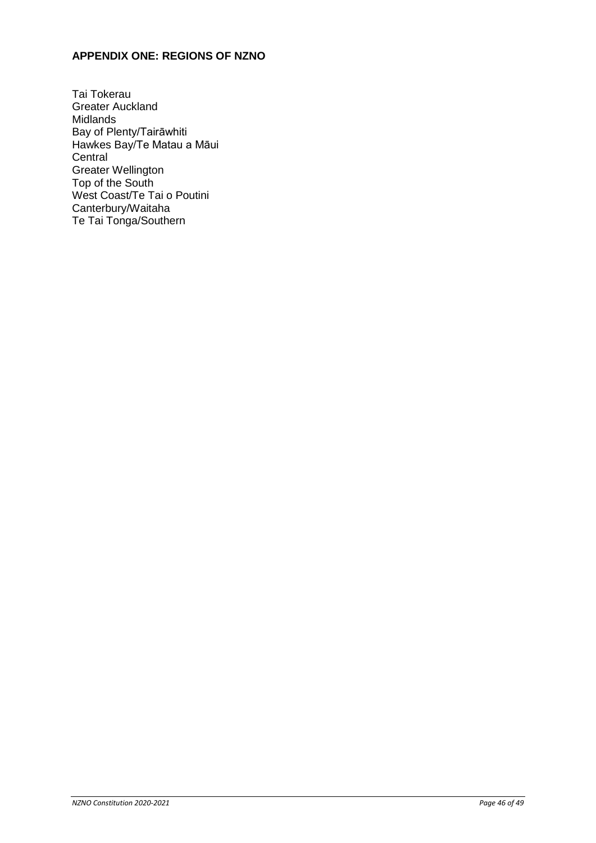# <span id="page-45-0"></span>**APPENDIX ONE: REGIONS OF NZNO**

Tai Tokerau Greater Auckland Midlands Bay of Plenty/Tairāwhiti Hawkes Bay/Te Matau a Māui **Central** Greater Wellington Top of the South West Coast/Te Tai o Poutini Canterbury/Waitaha Te Tai Tonga/Southern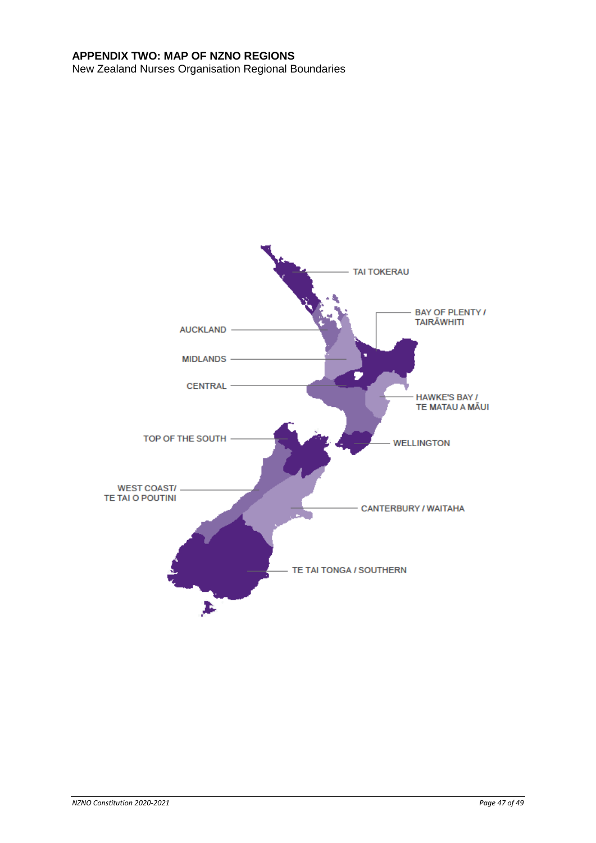# <span id="page-46-0"></span>**APPENDIX TWO: MAP OF NZNO REGIONS**

New Zealand Nurses Organisation Regional Boundaries

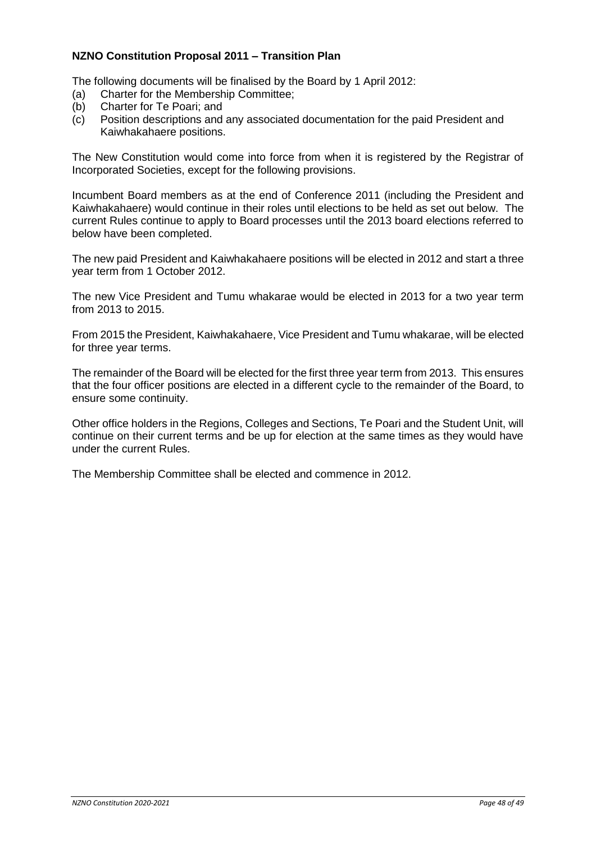# <span id="page-47-0"></span>**NZNO Constitution Proposal 2011 – Transition Plan**

The following documents will be finalised by the Board by 1 April 2012:

- (a) Charter for the Membership Committee;
- (b) Charter for Te Poari; and
- (c) Position descriptions and any associated documentation for the paid President and Kaiwhakahaere positions.

The New Constitution would come into force from when it is registered by the Registrar of Incorporated Societies, except for the following provisions.

Incumbent Board members as at the end of Conference 2011 (including the President and Kaiwhakahaere) would continue in their roles until elections to be held as set out below. The current Rules continue to apply to Board processes until the 2013 board elections referred to below have been completed.

The new paid President and Kaiwhakahaere positions will be elected in 2012 and start a three year term from 1 October 2012.

The new Vice President and Tumu whakarae would be elected in 2013 for a two year term from 2013 to 2015.

From 2015 the President, Kaiwhakahaere, Vice President and Tumu whakarae, will be elected for three year terms.

The remainder of the Board will be elected for the first three year term from 2013. This ensures that the four officer positions are elected in a different cycle to the remainder of the Board, to ensure some continuity.

Other office holders in the Regions, Colleges and Sections, Te Poari and the Student Unit, will continue on their current terms and be up for election at the same times as they would have under the current Rules.

The Membership Committee shall be elected and commence in 2012.